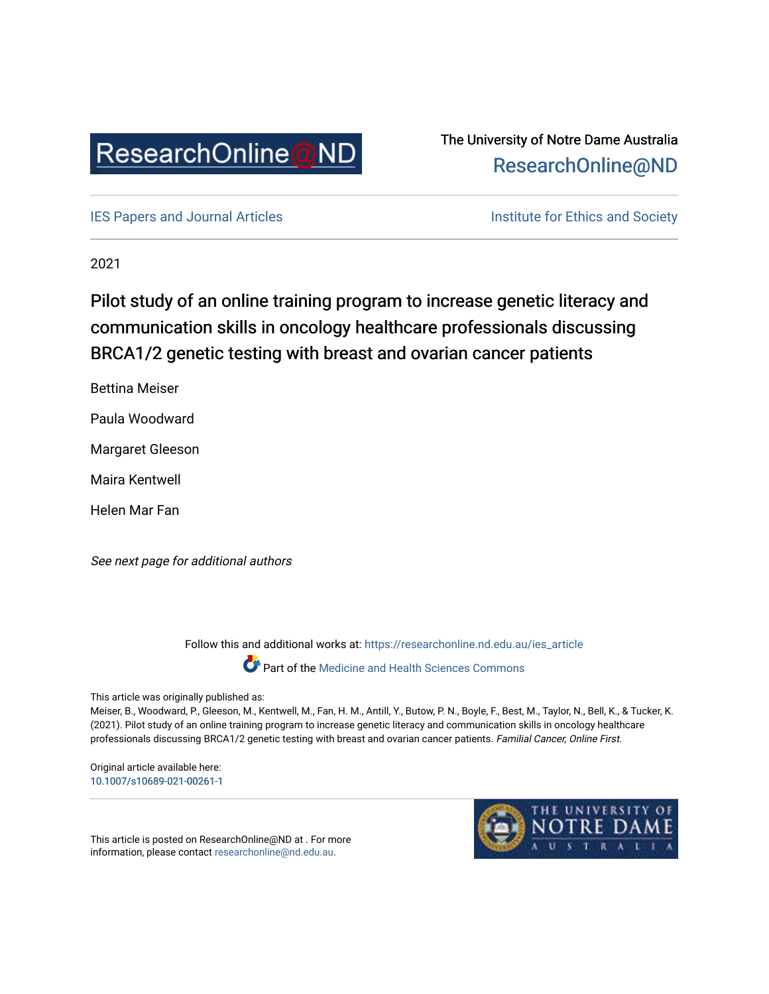

The University of Notre Dame Australia [ResearchOnline@ND](https://researchonline.nd.edu.au/) 

[IES Papers and Journal Articles](https://researchonline.nd.edu.au/ies_article) **Institute for Ethics and Society** Institute for Ethics and Society

2021

# Pilot study of an online training program to increase genetic literacy and communication skills in oncology healthcare professionals discussing BRCA1/2 genetic testing with breast and ovarian cancer patients

Bettina Meiser

Paula Woodward

Margaret Gleeson

Maira Kentwell

Helen Mar Fan

See next page for additional authors

Follow this and additional works at: [https://researchonline.nd.edu.au/ies\\_article](https://researchonline.nd.edu.au/ies_article?utm_source=researchonline.nd.edu.au%2Fies_article%2F21&utm_medium=PDF&utm_campaign=PDFCoverPages) 

Part of the [Medicine and Health Sciences Commons](http://network.bepress.com/hgg/discipline/648?utm_source=researchonline.nd.edu.au%2Fies_article%2F21&utm_medium=PDF&utm_campaign=PDFCoverPages)

This article was originally published as:

Meiser, B., Woodward, P., Gleeson, M., Kentwell, M., Fan, H. M., Antill, Y., Butow, P. N., Boyle, F., Best, M., Taylor, N., Bell, K., & Tucker, K. (2021). Pilot study of an online training program to increase genetic literacy and communication skills in oncology healthcare professionals discussing BRCA1/2 genetic testing with breast and ovarian cancer patients. Familial Cancer, Online First.

Original article available here: [10.1007/s10689-021-00261-1](https://doi.org/10.1007/s10689-021-00261-1) 



This article is posted on ResearchOnline@ND at . For more information, please contact [researchonline@nd.edu.au.](mailto:researchonline@nd.edu.au)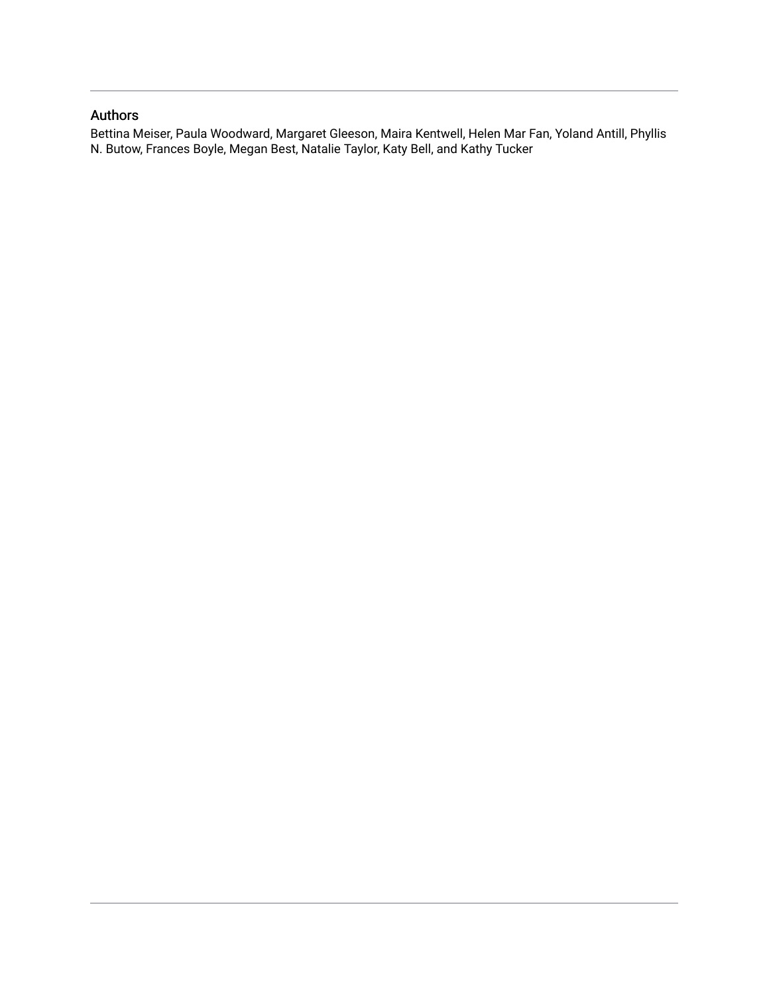# Authors

Bettina Meiser, Paula Woodward, Margaret Gleeson, Maira Kentwell, Helen Mar Fan, Yoland Antill, Phyllis N. Butow, Frances Boyle, Megan Best, Natalie Taylor, Katy Bell, and Kathy Tucker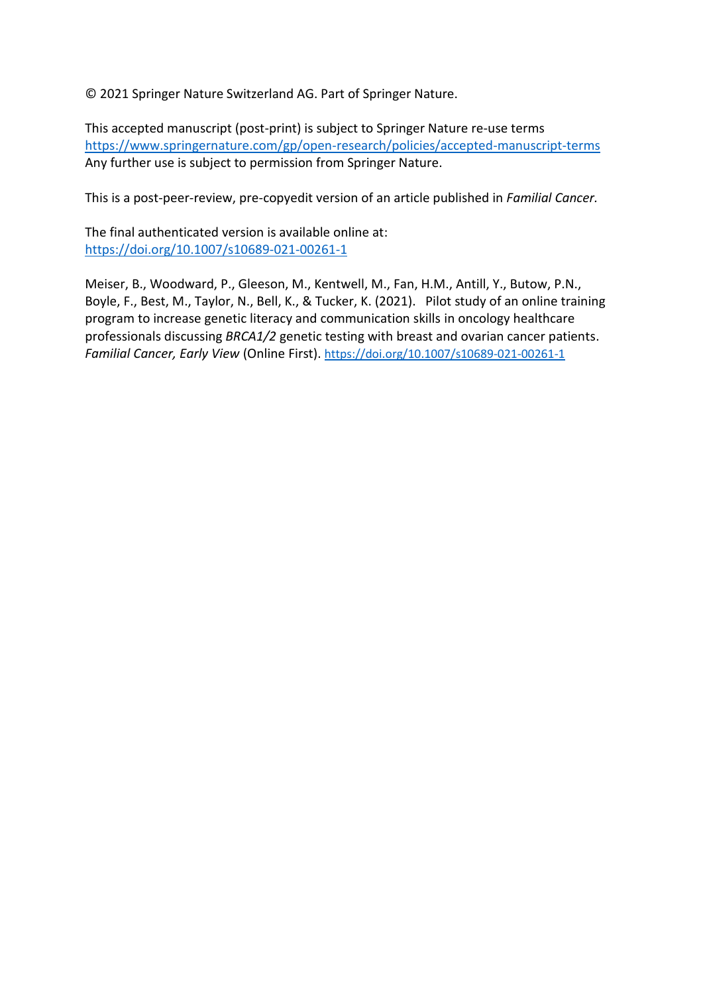© 2021 Springer Nature Switzerland AG. Part of Springer Nature.

This accepted manuscript (post-print) is subject to Springer Nature re-use terms <https://www.springernature.com/gp/open-research/policies/accepted-manuscript-terms> Any further use is subject to permission from Springer Nature.

This is a post-peer-review, pre-copyedit version of an article published in *Familial Cancer.*

The final authenticated version is available online at: <https://doi.org/10.1007/s10689-021-00261-1>

Meiser, B., Woodward, P., Gleeson, M., Kentwell, M., Fan, H.M., Antill, Y., Butow, P.N., Boyle, F., Best, M., Taylor, N., Bell, K., & Tucker, K. (2021). Pilot study of an online training program to increase genetic literacy and communication skills in oncology healthcare professionals discussing *BRCA1/2* genetic testing with breast and ovarian cancer patients. *Familial Cancer, Early View* (Online First). <https://doi.org/10.1007/s10689-021-00261-1>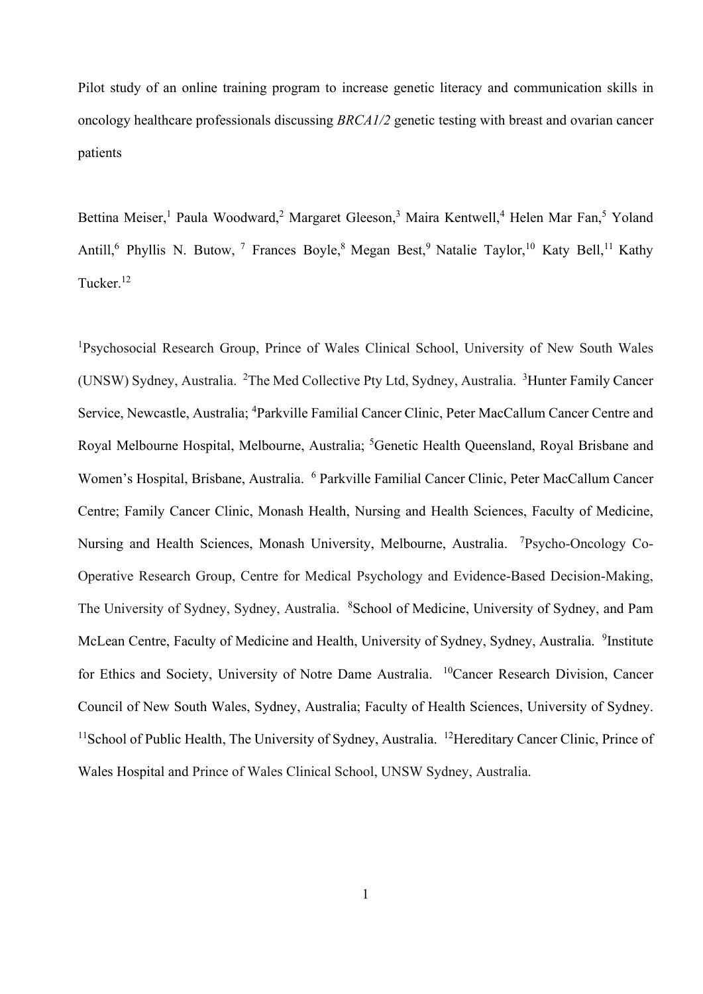Pilot study of an online training program to increase genetic literacy and communication skills in oncology healthcare professionals discussing *BRCA1/2* genetic testing with breast and ovarian cancer patients

Bettina Meiser,<sup>1</sup> Paula Woodward,<sup>2</sup> Margaret Gleeson,<sup>3</sup> Maira Kentwell,<sup>4</sup> Helen Mar Fan,<sup>5</sup> Yoland Antill,<sup>6</sup> Phyllis N. Butow, <sup>7</sup> Frances Boyle, <sup>8</sup> Megan Best, <sup>9</sup> Natalie Taylor, <sup>10</sup> Katy Bell, <sup>11</sup> Kathy Tucker.<sup>12</sup>

<sup>1</sup>Psychosocial Research Group, Prince of Wales Clinical School, University of New South Wales (UNSW) Sydney, Australia. <sup>2</sup>The Med Collective Pty Ltd, Sydney, Australia. <sup>3</sup>Hunter Family Cancer Service, Newcastle, Australia; <sup>4</sup>Parkville Familial Cancer Clinic, Peter MacCallum Cancer Centre and Royal Melbourne Hospital, Melbourne, Australia; <sup>5</sup>Genetic Health Queensland, Royal Brisbane and Women's Hospital, Brisbane, Australia. <sup>6</sup> Parkville Familial Cancer Clinic, Peter MacCallum Cancer Centre; Family Cancer Clinic, Monash Health, Nursing and Health Sciences, Faculty of Medicine, Nursing and Health Sciences, Monash University, Melbourne, Australia. <sup>7</sup>Psycho-Oncology Co-Operative Research Group, Centre for Medical Psychology and Evidence-Based Decision-Making, The University of Sydney, Sydney, Australia. <sup>8</sup>School of Medicine, University of Sydney, and Pam McLean Centre, Faculty of Medicine and Health, University of Sydney, Sydney, Australia. <sup>9</sup>Institute for Ethics and Society, University of Notre Dame Australia. <sup>10</sup>Cancer Research Division, Cancer Council of New South Wales, Sydney, Australia; Faculty of Health Sciences, University of Sydney. <sup>11</sup>School of Public Health, The University of Sydney, Australia. <sup>12</sup>Hereditary Cancer Clinic, Prince of Wales Hospital and Prince of Wales Clinical School, UNSW Sydney, Australia.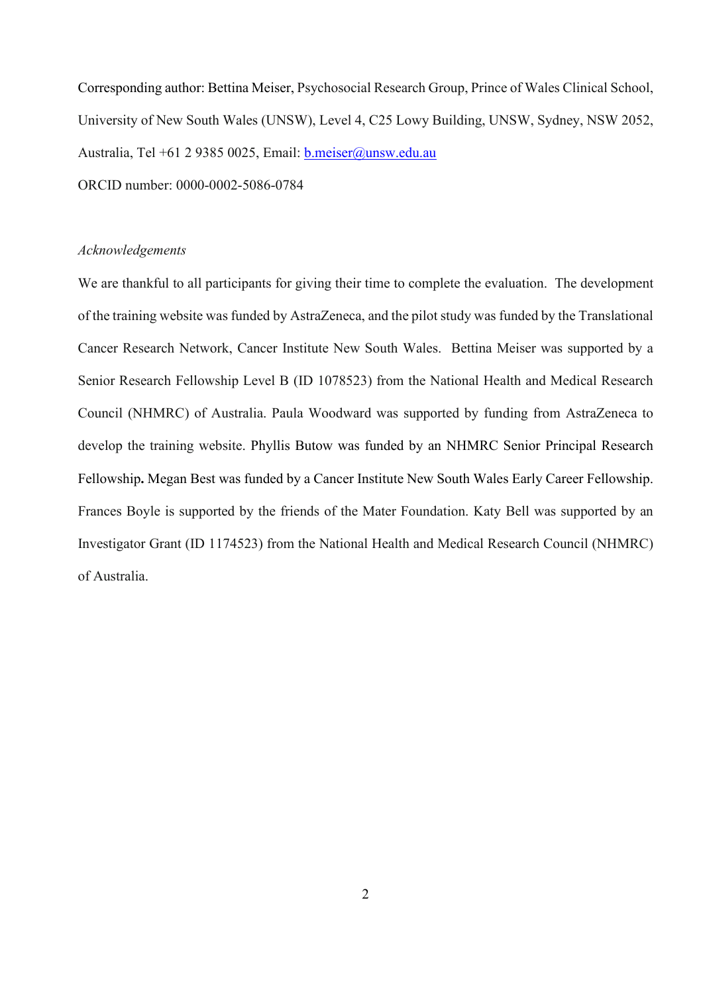Corresponding author: Bettina Meiser, Psychosocial Research Group, Prince of Wales Clinical School, University of New South Wales (UNSW), Level 4, C25 Lowy Building, UNSW, Sydney, NSW 2052, Australia, Tel +61 2 9385 0025, Email: [b.meiser@unsw.edu.au](mailto:b.meiser@unsw.edu.au) ORCID number: 0000-0002-5086-0784

#### *Acknowledgements*

We are thankful to all participants for giving their time to complete the evaluation. The development of the training website was funded by AstraZeneca, and the pilot study was funded by the Translational Cancer Research Network, Cancer Institute New South Wales. Bettina Meiser was supported by a Senior Research Fellowship Level B (ID 1078523) from the National Health and Medical Research Council (NHMRC) of Australia. Paula Woodward was supported by funding from AstraZeneca to develop the training website. Phyllis Butow was funded by an NHMRC Senior Principal Research Fellowship**.** Megan Best was funded by a Cancer Institute New South Wales Early Career Fellowship. Frances Boyle is supported by the friends of the Mater Foundation. Katy Bell was supported by an Investigator Grant (ID 1174523) from the National Health and Medical Research Council (NHMRC) of Australia.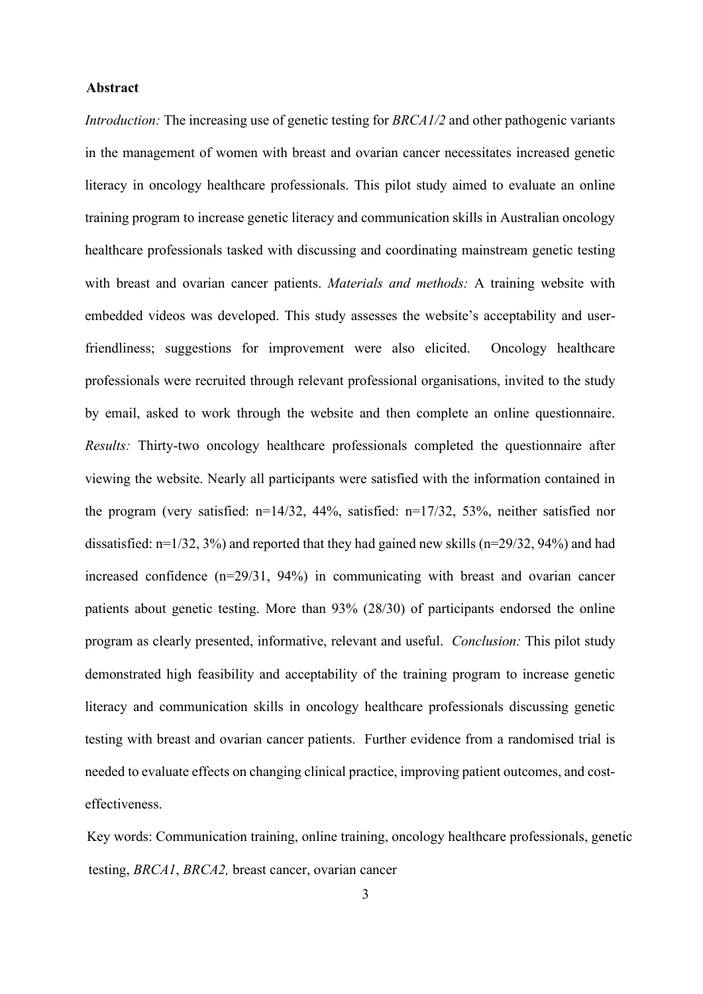## **Abstract**

*Introduction:* The increasing use of genetic testing for *BRCA1/2* and other pathogenic variants in the management of women with breast and ovarian cancer necessitates increased genetic literacy in oncology healthcare professionals. This pilot study aimed to evaluate an online training program to increase genetic literacy and communication skills in Australian oncology healthcare professionals tasked with discussing and coordinating mainstream genetic testing with breast and ovarian cancer patients. *Materials and methods:* A training website with embedded videos was developed. This study assesses the website's acceptability and userfriendliness; suggestions for improvement were also elicited. Oncology healthcare professionals were recruited through relevant professional organisations, invited to the study by email, asked to work through the website and then complete an online questionnaire. *Results:* Thirty-two oncology healthcare professionals completed the questionnaire after viewing the website. Nearly all participants were satisfied with the information contained in the program (very satisfied: n=14/32, 44%, satisfied: n=17/32, 53%, neither satisfied nor dissatisfied: n=1/32, 3%) and reported that they had gained new skills (n=29/32, 94%) and had increased confidence (n=29/31, 94%) in communicating with breast and ovarian cancer patients about genetic testing. More than 93% (28/30) of participants endorsed the online program as clearly presented, informative, relevant and useful. *Conclusion:* This pilot study demonstrated high feasibility and acceptability of the training program to increase genetic literacy and communication skills in oncology healthcare professionals discussing genetic testing with breast and ovarian cancer patients. Further evidence from a randomised trial is needed to evaluate effects on changing clinical practice, improving patient outcomes, and costeffectiveness.

 Key words: Communication training, online training, oncology healthcare professionals, genetic testing, *BRCA1*, *BRCA2,* breast cancer, ovarian cancer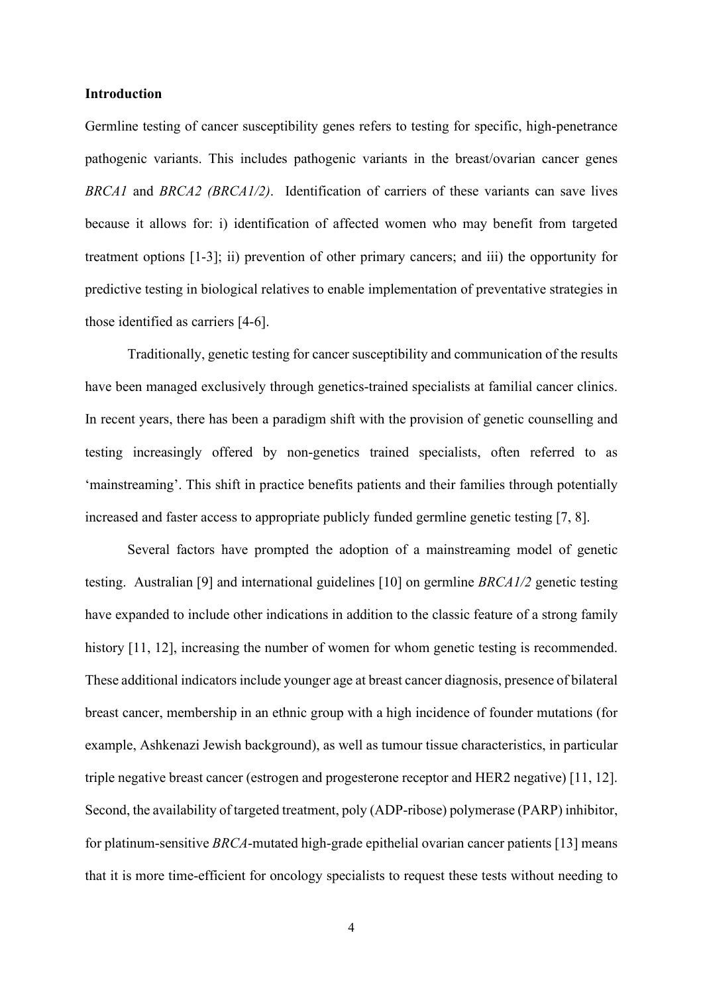#### **Introduction**

Germline testing of cancer susceptibility genes refers to testing for specific, high-penetrance pathogenic variants. This includes pathogenic variants in the breast/ovarian cancer genes *BRCA1* and *BRCA2 (BRCA1/2)*. Identification of carriers of these variants can save lives because it allows for: i) identification of affected women who may benefit from targeted treatment options [1-3]; ii) prevention of other primary cancers; and iii) the opportunity for predictive testing in biological relatives to enable implementation of preventative strategies in those identified as carriers [4-6].

Traditionally, genetic testing for cancer susceptibility and communication of the results have been managed exclusively through genetics-trained specialists at familial cancer clinics. In recent years, there has been a paradigm shift with the provision of genetic counselling and testing increasingly offered by non-genetics trained specialists, often referred to as 'mainstreaming'. This shift in practice benefits patients and their families through potentially increased and faster access to appropriate publicly funded germline genetic testing [7, 8].

Several factors have prompted the adoption of a mainstreaming model of genetic testing. Australian [9] and international guidelines [10] on germline *BRCA1/2* genetic testing have expanded to include other indications in addition to the classic feature of a strong family history [11, 12], increasing the number of women for whom genetic testing is recommended. These additional indicators include younger age at breast cancer diagnosis, presence of bilateral breast cancer, membership in an ethnic group with a high incidence of founder mutations (for example, Ashkenazi Jewish background), as well as tumour tissue characteristics, in particular triple negative breast cancer (estrogen and progesterone receptor and HER2 negative) [11, 12]. Second, the availability of targeted treatment, poly (ADP-ribose) polymerase (PARP) inhibitor, for platinum-sensitive *BRCA*-mutated high-grade epithelial ovarian cancer patients [13] means that it is more time-efficient for oncology specialists to request these tests without needing to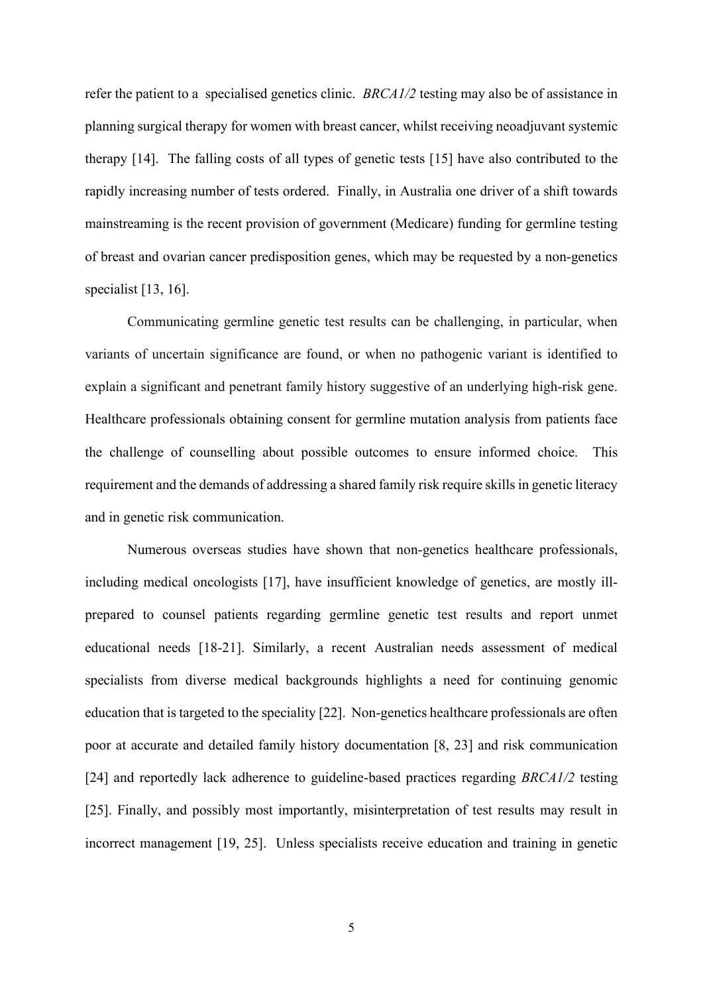refer the patient to a specialised genetics clinic. *BRCA1/2* testing may also be of assistance in planning surgical therapy for women with breast cancer, whilst receiving neoadjuvant systemic therapy [14]. The falling costs of all types of genetic tests [15] have also contributed to the rapidly increasing number of tests ordered. Finally, in Australia one driver of a shift towards mainstreaming is the recent provision of government (Medicare) funding for germline testing of breast and ovarian cancer predisposition genes, which may be requested by a non-genetics specialist [13, 16].

Communicating germline genetic test results can be challenging, in particular, when variants of uncertain significance are found, or when no pathogenic variant is identified to explain a significant and penetrant family history suggestive of an underlying high-risk gene. Healthcare professionals obtaining consent for germline mutation analysis from patients face the challenge of counselling about possible outcomes to ensure informed choice. This requirement and the demands of addressing a shared family risk require skills in genetic literacy and in genetic risk communication.

Numerous overseas studies have shown that non-genetics healthcare professionals, including medical oncologists [17], have insufficient knowledge of genetics, are mostly illprepared to counsel patients regarding germline genetic test results and report unmet educational needs [18-21]. Similarly, a recent Australian needs assessment of medical specialists from diverse medical backgrounds highlights a need for continuing genomic education that is targeted to the speciality [22]. Non-genetics healthcare professionals are often poor at accurate and detailed family history documentation [8, 23] and risk communication [24] and reportedly lack adherence to guideline-based practices regarding *BRCA1/2* testing [25]. Finally, and possibly most importantly, misinterpretation of test results may result in incorrect management [19, 25]. Unless specialists receive education and training in genetic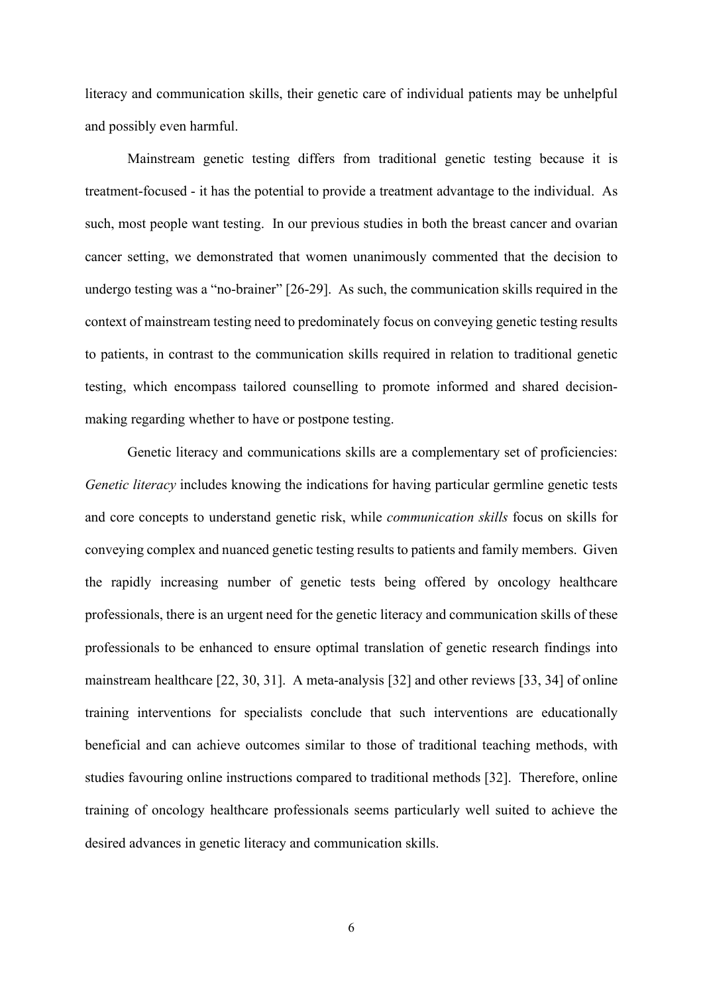literacy and communication skills, their genetic care of individual patients may be unhelpful and possibly even harmful.

Mainstream genetic testing differs from traditional genetic testing because it is treatment-focused - it has the potential to provide a treatment advantage to the individual. As such, most people want testing. In our previous studies in both the breast cancer and ovarian cancer setting, we demonstrated that women unanimously commented that the decision to undergo testing was a "no-brainer" [26-29]. As such, the communication skills required in the context of mainstream testing need to predominately focus on conveying genetic testing results to patients, in contrast to the communication skills required in relation to traditional genetic testing, which encompass tailored counselling to promote informed and shared decisionmaking regarding whether to have or postpone testing.

Genetic literacy and communications skills are a complementary set of proficiencies: *Genetic literacy* includes knowing the indications for having particular germline genetic tests and core concepts to understand genetic risk, while *communication skills* focus on skills for conveying complex and nuanced genetic testing results to patients and family members. Given the rapidly increasing number of genetic tests being offered by oncology healthcare professionals, there is an urgent need for the genetic literacy and communication skills of these professionals to be enhanced to ensure optimal translation of genetic research findings into mainstream healthcare [22, 30, 31]. A meta-analysis [32] and other reviews [33, 34] of online training interventions for specialists conclude that such interventions are educationally beneficial and can achieve outcomes similar to those of traditional teaching methods, with studies favouring online instructions compared to traditional methods [32]. Therefore, online training of oncology healthcare professionals seems particularly well suited to achieve the desired advances in genetic literacy and communication skills.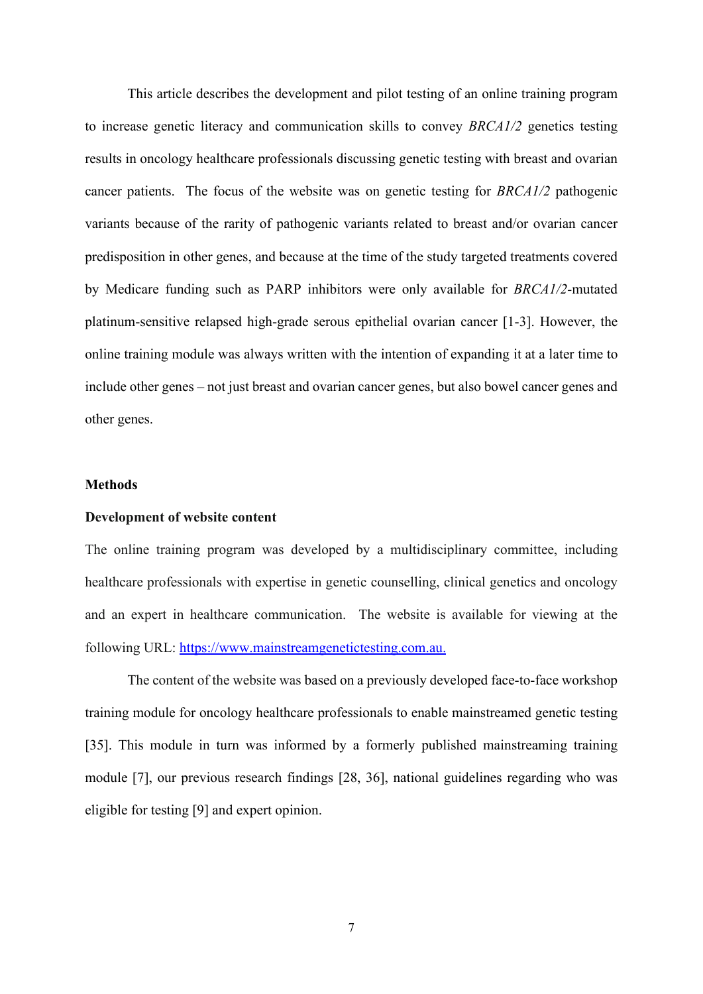This article describes the development and pilot testing of an online training program to increase genetic literacy and communication skills to convey *BRCA1/2* genetics testing results in oncology healthcare professionals discussing genetic testing with breast and ovarian cancer patients. The focus of the website was on genetic testing for *BRCA1/2* pathogenic variants because of the rarity of pathogenic variants related to breast and/or ovarian cancer predisposition in other genes, and because at the time of the study targeted treatments covered by Medicare funding such as PARP inhibitors were only available for *BRCA1/2-*mutated platinum-sensitive relapsed high-grade serous epithelial ovarian cancer [1-3]. However, the online training module was always written with the intention of expanding it at a later time to include other genes – not just breast and ovarian cancer genes, but also bowel cancer genes and other genes.

# **Methods**

## **Development of website content**

The online training program was developed by a multidisciplinary committee, including healthcare professionals with expertise in genetic counselling, clinical genetics and oncology and an expert in healthcare communication. The website is available for viewing at the following URL: https://www.mainstreamgenetictesting.com.au.

The content of the website was based on a previously developed face-to-face workshop training module for oncology healthcare professionals to enable mainstreamed genetic testing [35]. This module in turn was informed by a formerly published mainstreaming training module [7], our previous research findings [28, 36], national guidelines regarding who was eligible for testing [9] and expert opinion.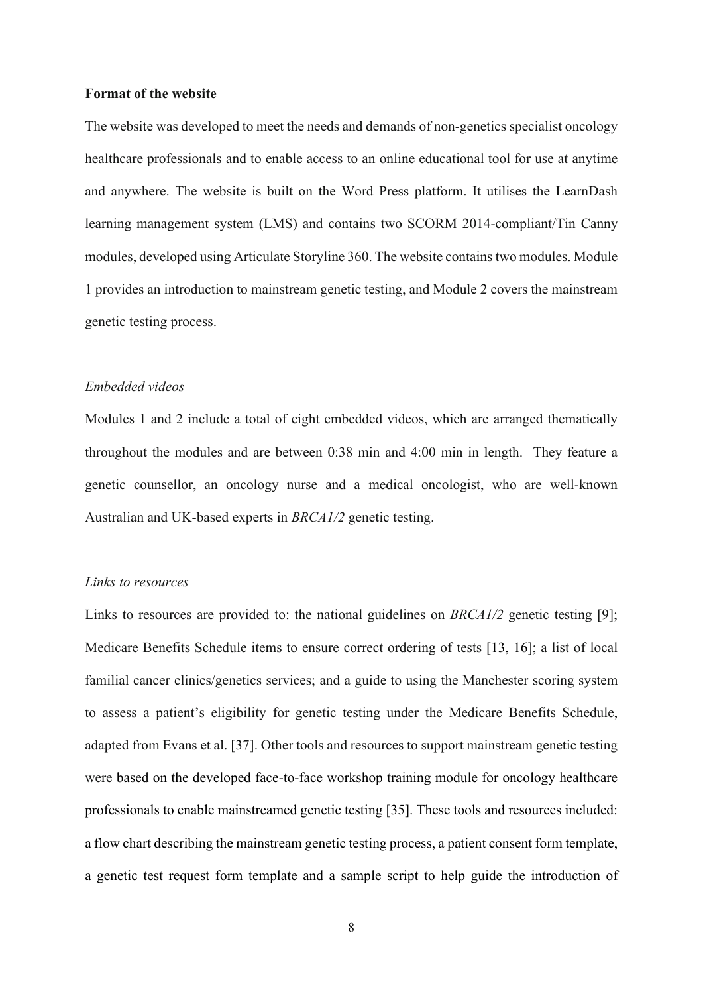#### **Format of the website**

The website was developed to meet the needs and demands of non-genetics specialist oncology healthcare professionals and to enable access to an online educational tool for use at anytime and anywhere. The website is built on the Word Press platform. It utilises the LearnDash learning management system (LMS) and contains two SCORM 2014-compliant/Tin Canny modules, developed using Articulate Storyline 360. The website contains two modules. Module 1 provides an introduction to mainstream genetic testing, and Module 2 covers the mainstream genetic testing process.

# *Embedded videos*

Modules 1 and 2 include a total of eight embedded videos, which are arranged thematically throughout the modules and are between 0:38 min and 4:00 min in length. They feature a genetic counsellor, an oncology nurse and a medical oncologist, who are well-known Australian and UK-based experts in *BRCA1/2* genetic testing.

#### *Links to resources*

Links to resources are provided to: the national guidelines on *BRCA1/2* genetic testing [9]; Medicare Benefits Schedule items to ensure correct ordering of tests [13, 16]; a list of local familial cancer clinics/genetics services; and a guide to using the Manchester scoring system to assess a patient's eligibility for genetic testing under the Medicare Benefits Schedule, adapted from Evans et al. [37]. Other tools and resources to support mainstream genetic testing were based on the developed face-to-face workshop training module for oncology healthcare professionals to enable mainstreamed genetic testing [35]. These tools and resources included: a flow chart describing the mainstream genetic testing process, a patient consent form template, a genetic test request form template and a sample script to help guide the introduction of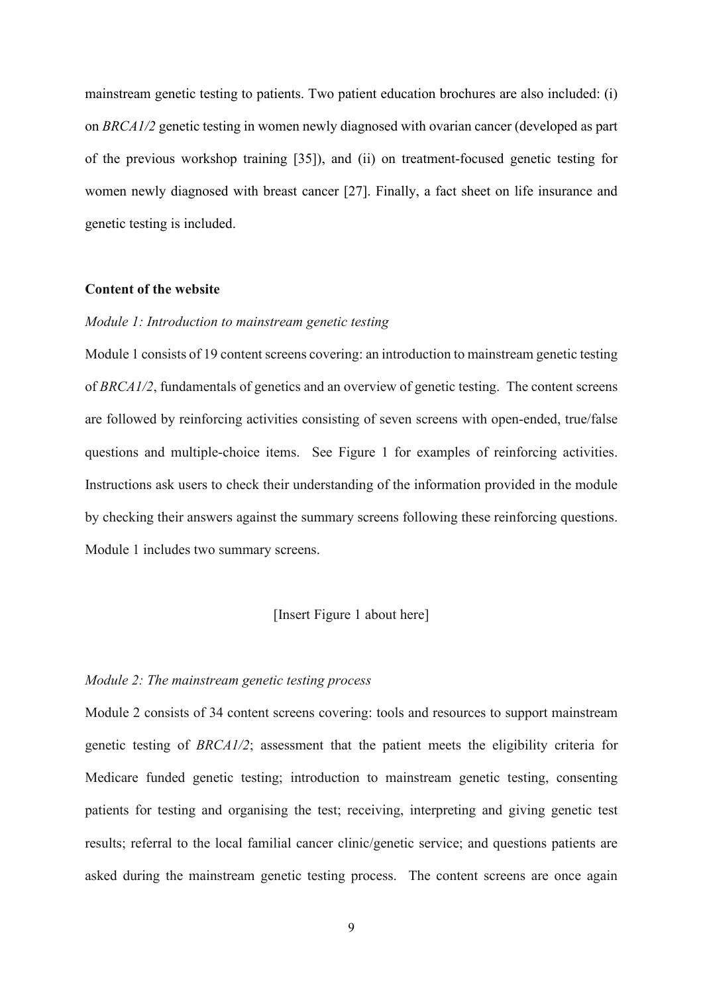mainstream genetic testing to patients. Two patient education brochures are also included: (i) on *BRCA1/2* genetic testing in women newly diagnosed with ovarian cancer (developed as part of the previous workshop training [35]), and (ii) on treatment-focused genetic testing for women newly diagnosed with breast cancer [27]. Finally, a fact sheet on life insurance and genetic testing is included.

#### **Content of the website**

# *Module 1: Introduction to mainstream genetic testing*

Module 1 consists of 19 content screens covering: an introduction to mainstream genetic testing of *BRCA1/2*, fundamentals of genetics and an overview of genetic testing. The content screens are followed by reinforcing activities consisting of seven screens with open-ended, true/false questions and multiple-choice items. See Figure 1 for examples of reinforcing activities. Instructions ask users to check their understanding of the information provided in the module by checking their answers against the summary screens following these reinforcing questions. Module 1 includes two summary screens.

# [Insert Figure 1 about here]

#### *Module 2: The mainstream genetic testing process*

Module 2 consists of 34 content screens covering: tools and resources to support mainstream genetic testing of *BRCA1/2*; assessment that the patient meets the eligibility criteria for Medicare funded genetic testing; introduction to mainstream genetic testing, consenting patients for testing and organising the test; receiving, interpreting and giving genetic test results; referral to the local familial cancer clinic/genetic service; and questions patients are asked during the mainstream genetic testing process. The content screens are once again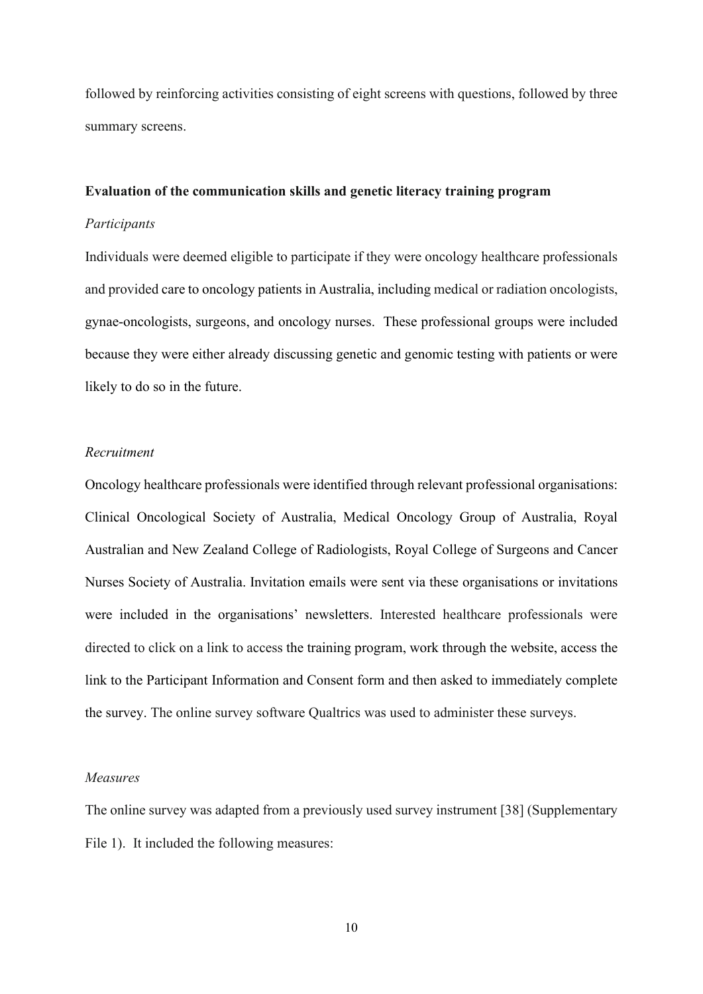followed by reinforcing activities consisting of eight screens with questions, followed by three summary screens.

#### **Evaluation of the communication skills and genetic literacy training program**

## *Participants*

Individuals were deemed eligible to participate if they were oncology healthcare professionals and provided care to oncology patients in Australia, including medical or radiation oncologists, gynae-oncologists, surgeons, and oncology nurses. These professional groups were included because they were either already discussing genetic and genomic testing with patients or were likely to do so in the future.

## *Recruitment*

Oncology healthcare professionals were identified through relevant professional organisations: Clinical Oncological Society of Australia, Medical Oncology Group of Australia, Royal Australian and New Zealand College of Radiologists, Royal College of Surgeons and Cancer Nurses Society of Australia. Invitation emails were sent via these organisations or invitations were included in the organisations' newsletters. Interested healthcare professionals were directed to click on a link to access the training program, work through the website, access the link to the Participant Information and Consent form and then asked to immediately complete the survey. The online survey software Qualtrics was used to administer these surveys.

## *Measures*

The online survey was adapted from a previously used survey instrument [38] (Supplementary File 1). It included the following measures: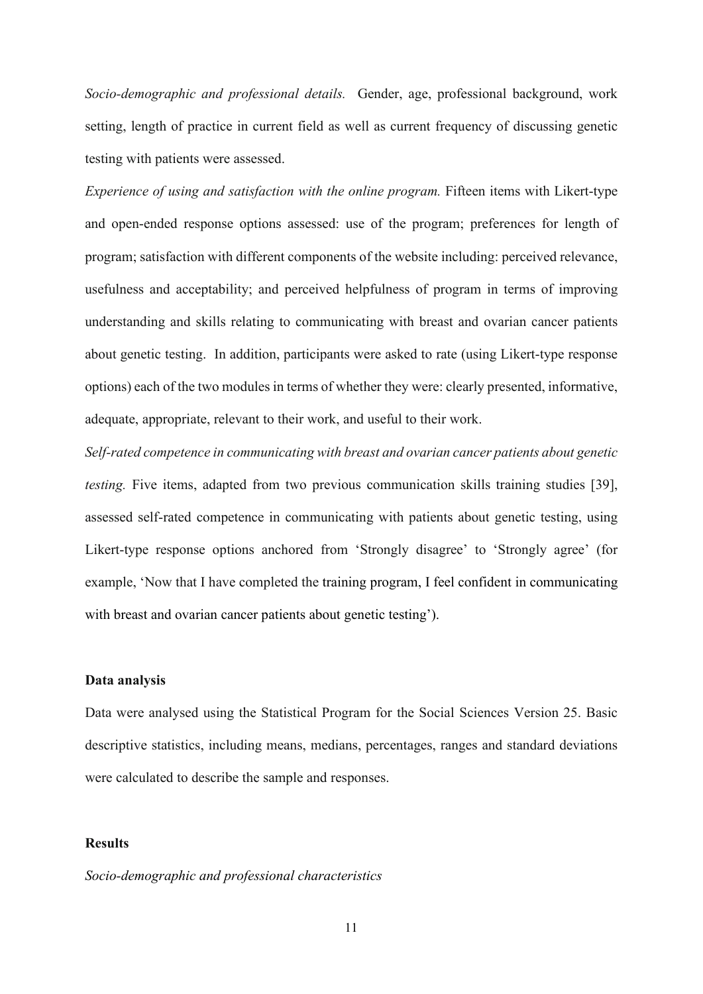*Socio-demographic and professional details.* Gender, age, professional background, work setting, length of practice in current field as well as current frequency of discussing genetic testing with patients were assessed.

*Experience of using and satisfaction with the online program.* Fifteen items with Likert-type and open-ended response options assessed: use of the program; preferences for length of program; satisfaction with different components of the website including: perceived relevance, usefulness and acceptability; and perceived helpfulness of program in terms of improving understanding and skills relating to communicating with breast and ovarian cancer patients about genetic testing. In addition, participants were asked to rate (using Likert-type response options) each of the two modules in terms of whether they were: clearly presented, informative, adequate, appropriate, relevant to their work, and useful to their work.

*Self-rated competence in communicating with breast and ovarian cancer patients about genetic testing.* Five items, adapted from two previous communication skills training studies [39], assessed self-rated competence in communicating with patients about genetic testing, using Likert-type response options anchored from 'Strongly disagree' to 'Strongly agree' (for example, 'Now that I have completed the training program, I feel confident in communicating with breast and ovarian cancer patients about genetic testing').

## **Data analysis**

Data were analysed using the Statistical Program for the Social Sciences Version 25. Basic descriptive statistics, including means, medians, percentages, ranges and standard deviations were calculated to describe the sample and responses.

## **Results**

## *Socio-demographic and professional characteristics*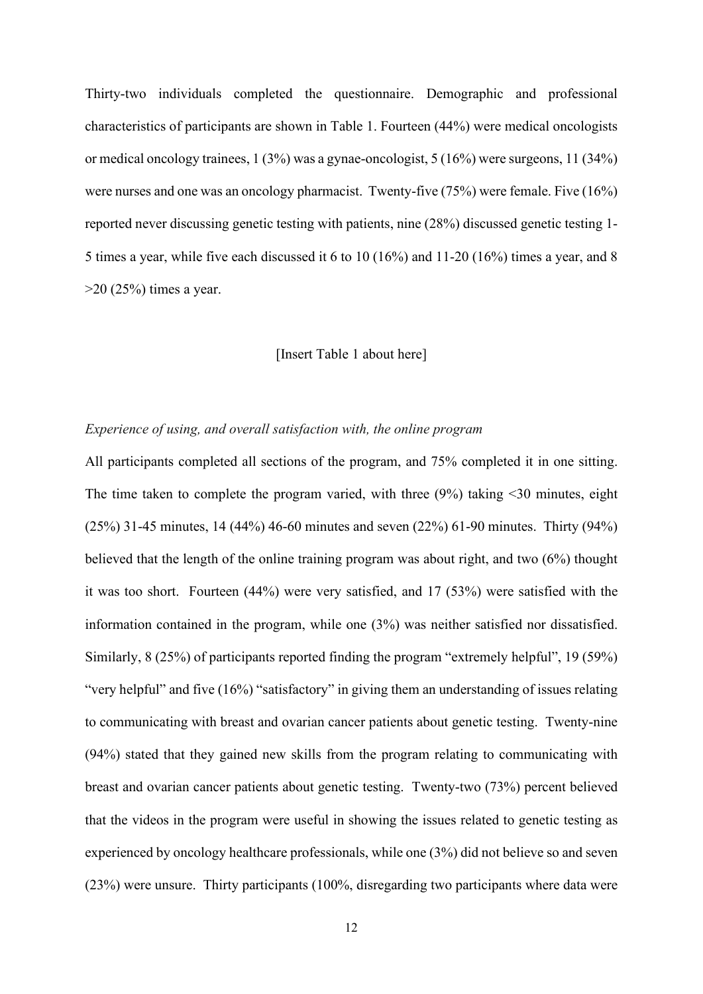Thirty-two individuals completed the questionnaire. Demographic and professional characteristics of participants are shown in Table 1. Fourteen (44%) were medical oncologists or medical oncology trainees, 1 (3%) was a gynae-oncologist, 5 (16%) were surgeons, 11 (34%) were nurses and one was an oncology pharmacist. Twenty-five (75%) were female. Five (16%) reported never discussing genetic testing with patients, nine (28%) discussed genetic testing 1- 5 times a year, while five each discussed it 6 to 10 (16%) and 11-20 (16%) times a year, and 8 >20 (25%) times a year.

## [Insert Table 1 about here]

#### *Experience of using, and overall satisfaction with, the online program*

All participants completed all sections of the program, and 75% completed it in one sitting. The time taken to complete the program varied, with three (9%) taking <30 minutes, eight (25%) 31-45 minutes, 14 (44%) 46-60 minutes and seven (22%) 61-90 minutes. Thirty (94%) believed that the length of the online training program was about right, and two (6%) thought it was too short. Fourteen (44%) were very satisfied, and 17 (53%) were satisfied with the information contained in the program, while one (3%) was neither satisfied nor dissatisfied. Similarly, 8 (25%) of participants reported finding the program "extremely helpful", 19 (59%) "very helpful" and five (16%) "satisfactory" in giving them an understanding of issues relating to communicating with breast and ovarian cancer patients about genetic testing. Twenty-nine (94%) stated that they gained new skills from the program relating to communicating with breast and ovarian cancer patients about genetic testing. Twenty-two (73%) percent believed that the videos in the program were useful in showing the issues related to genetic testing as experienced by oncology healthcare professionals, while one (3%) did not believe so and seven (23%) were unsure. Thirty participants (100%, disregarding two participants where data were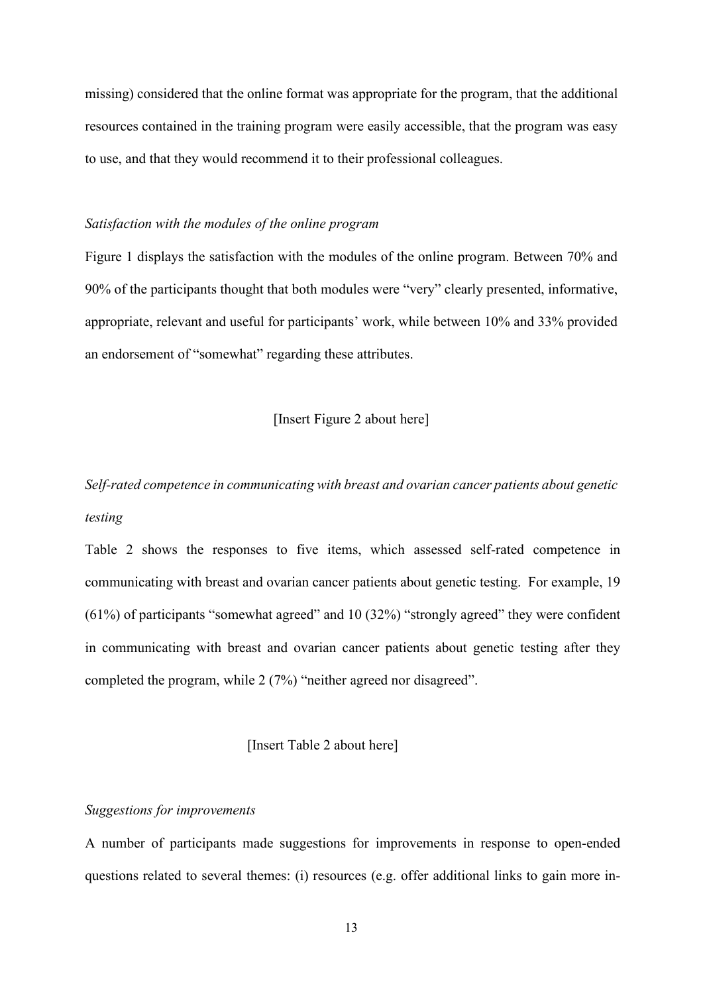missing) considered that the online format was appropriate for the program, that the additional resources contained in the training program were easily accessible, that the program was easy to use, and that they would recommend it to their professional colleagues.

#### *Satisfaction with the modules of the online program*

Figure 1 displays the satisfaction with the modules of the online program. Between 70% and 90% of the participants thought that both modules were "very" clearly presented, informative, appropriate, relevant and useful for participants' work, while between 10% and 33% provided an endorsement of "somewhat" regarding these attributes.

# [Insert Figure 2 about here]

*Self-rated competence in communicating with breast and ovarian cancer patients about genetic testing* 

Table 2 shows the responses to five items, which assessed self-rated competence in communicating with breast and ovarian cancer patients about genetic testing. For example, 19 (61%) of participants "somewhat agreed" and 10 (32%) "strongly agreed" they were confident in communicating with breast and ovarian cancer patients about genetic testing after they completed the program, while 2 (7%) "neither agreed nor disagreed".

[Insert Table 2 about here]

# *Suggestions for improvements*

A number of participants made suggestions for improvements in response to open-ended questions related to several themes: (i) resources (e.g. offer additional links to gain more in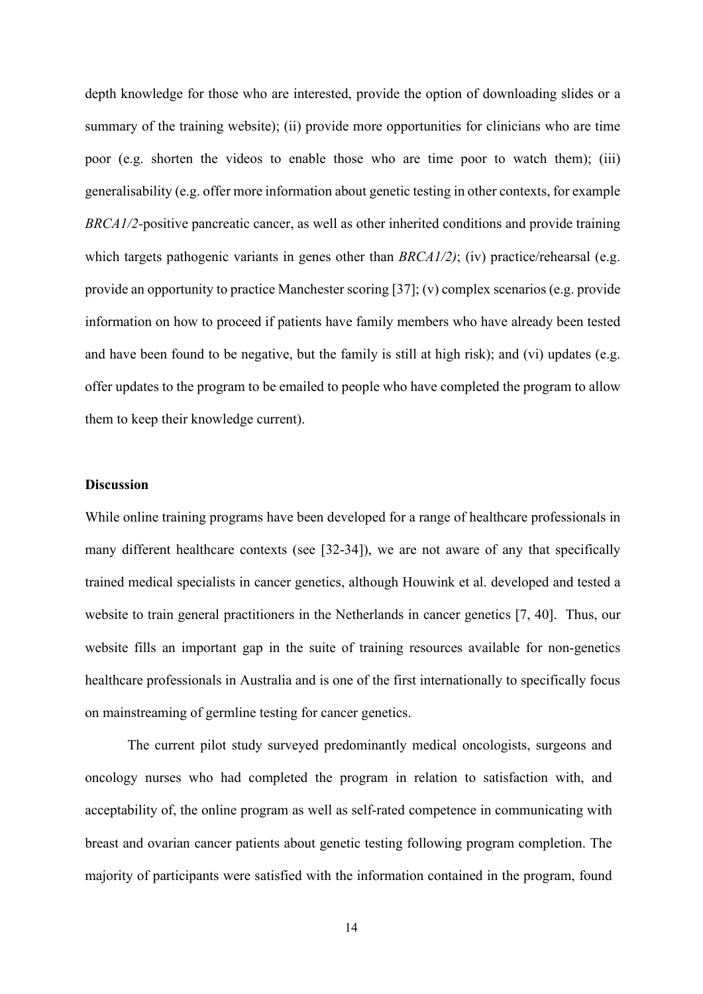depth knowledge for those who are interested, provide the option of downloading slides or a summary of the training website); (ii) provide more opportunities for clinicians who are time poor (e.g. shorten the videos to enable those who are time poor to watch them); (iii) generalisability (e.g. offer more information about genetic testing in other contexts, for example *BRCA1/2-*positive pancreatic cancer, as well as other inherited conditions and provide training which targets pathogenic variants in genes other than *BRCA1/2)*; (iv) practice/rehearsal (e.g. provide an opportunity to practice Manchester scoring [37]; (v) complex scenarios (e.g. provide information on how to proceed if patients have family members who have already been tested and have been found to be negative, but the family is still at high risk); and (vi) updates (e.g. offer updates to the program to be emailed to people who have completed the program to allow them to keep their knowledge current).

# **Discussion**

While online training programs have been developed for a range of healthcare professionals in many different healthcare contexts (see [32-34]), we are not aware of any that specifically trained medical specialists in cancer genetics, although Houwink et al. developed and tested a website to train general practitioners in the Netherlands in cancer genetics [7, 40]. Thus, our website fills an important gap in the suite of training resources available for non-genetics healthcare professionals in Australia and is one of the first internationally to specifically focus on mainstreaming of germline testing for cancer genetics.

The current pilot study surveyed predominantly medical oncologists, surgeons and oncology nurses who had completed the program in relation to satisfaction with, and acceptability of, the online program as well as self-rated competence in communicating with breast and ovarian cancer patients about genetic testing following program completion. The majority of participants were satisfied with the information contained in the program, found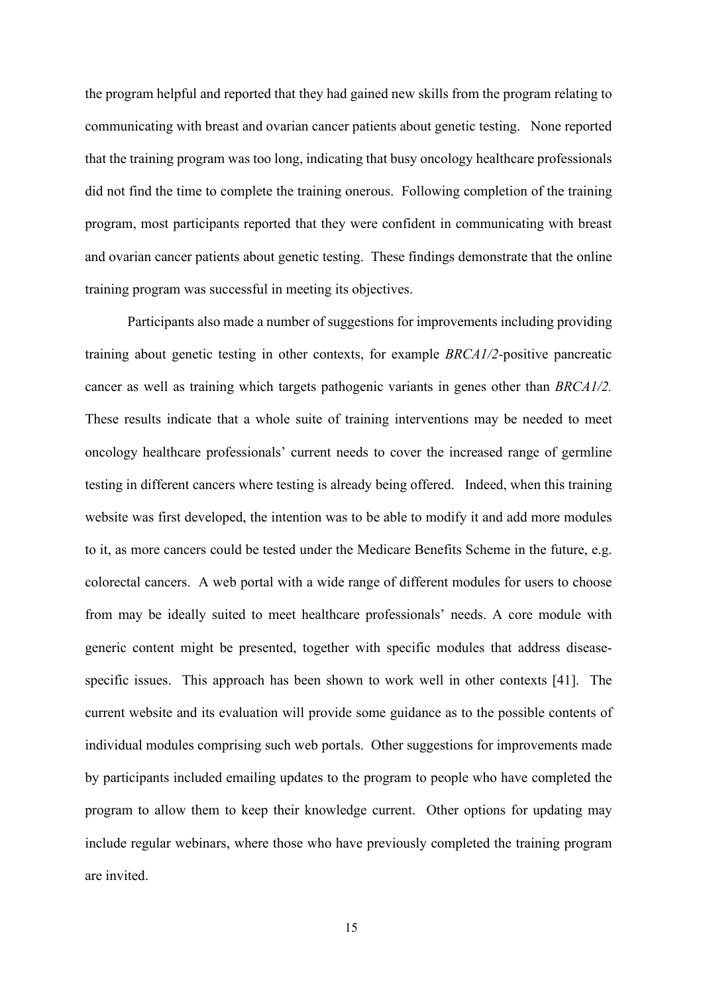the program helpful and reported that they had gained new skills from the program relating to communicating with breast and ovarian cancer patients about genetic testing. None reported that the training program was too long, indicating that busy oncology healthcare professionals did not find the time to complete the training onerous. Following completion of the training program, most participants reported that they were confident in communicating with breast and ovarian cancer patients about genetic testing. These findings demonstrate that the online training program was successful in meeting its objectives.

Participants also made a number of suggestions for improvements including providing training about genetic testing in other contexts, for example *BRCA1/2-*positive pancreatic cancer as well as training which targets pathogenic variants in genes other than *BRCA1/2.*  These results indicate that a whole suite of training interventions may be needed to meet oncology healthcare professionals' current needs to cover the increased range of germline testing in different cancers where testing is already being offered. Indeed, when this training website was first developed, the intention was to be able to modify it and add more modules to it, as more cancers could be tested under the Medicare Benefits Scheme in the future, e.g. colorectal cancers. A web portal with a wide range of different modules for users to choose from may be ideally suited to meet healthcare professionals' needs. A core module with generic content might be presented, together with specific modules that address diseasespecific issues. This approach has been shown to work well in other contexts [41]. The current website and its evaluation will provide some guidance as to the possible contents of individual modules comprising such web portals. Other suggestions for improvements made by participants included emailing updates to the program to people who have completed the program to allow them to keep their knowledge current. Other options for updating may include regular webinars, where those who have previously completed the training program are invited.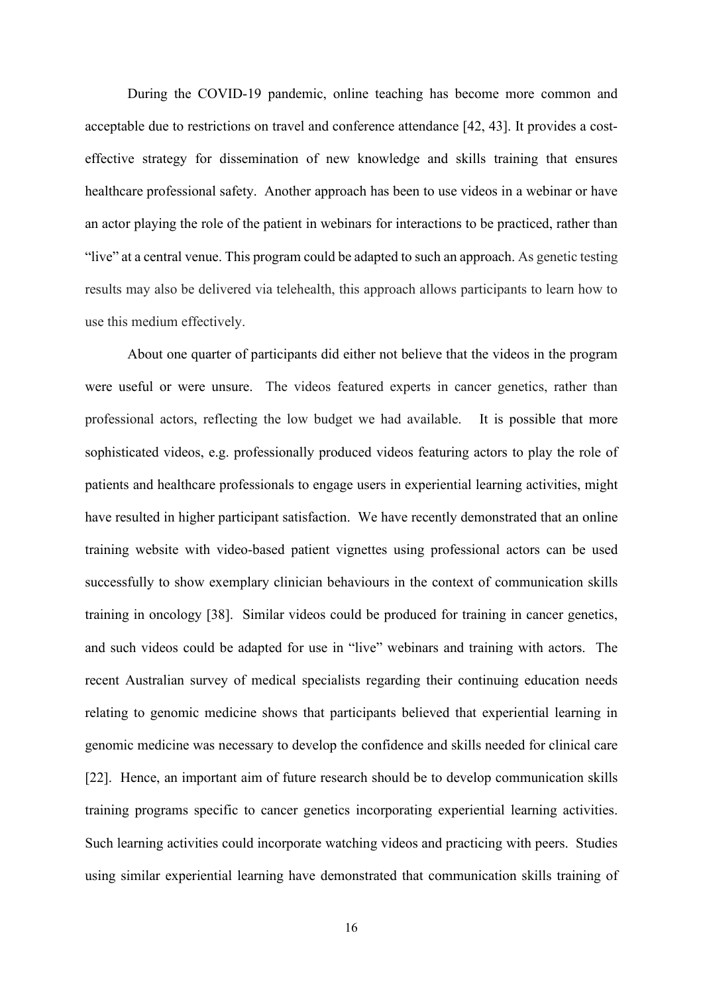During the COVID-19 pandemic, online teaching has become more common and acceptable due to restrictions on travel and conference attendance [42, 43]. It provides a costeffective strategy for dissemination of new knowledge and skills training that ensures healthcare professional safety. Another approach has been to use videos in a webinar or have an actor playing the role of the patient in webinars for interactions to be practiced, rather than "live" at a central venue. This program could be adapted to such an approach. As genetic testing results may also be delivered via telehealth, this approach allows participants to learn how to use this medium effectively.

About one quarter of participants did either not believe that the videos in the program were useful or were unsure. The videos featured experts in cancer genetics, rather than professional actors, reflecting the low budget we had available. It is possible that more sophisticated videos, e.g. professionally produced videos featuring actors to play the role of patients and healthcare professionals to engage users in experiential learning activities, might have resulted in higher participant satisfaction. We have recently demonstrated that an online training website with video-based patient vignettes using professional actors can be used successfully to show exemplary clinician behaviours in the context of communication skills training in oncology [38]. Similar videos could be produced for training in cancer genetics, and such videos could be adapted for use in "live" webinars and training with actors. The recent Australian survey of medical specialists regarding their continuing education needs relating to genomic medicine shows that participants believed that experiential learning in genomic medicine was necessary to develop the confidence and skills needed for clinical care [22]. Hence, an important aim of future research should be to develop communication skills training programs specific to cancer genetics incorporating experiential learning activities. Such learning activities could incorporate watching videos and practicing with peers. Studies using similar experiential learning have demonstrated that communication skills training of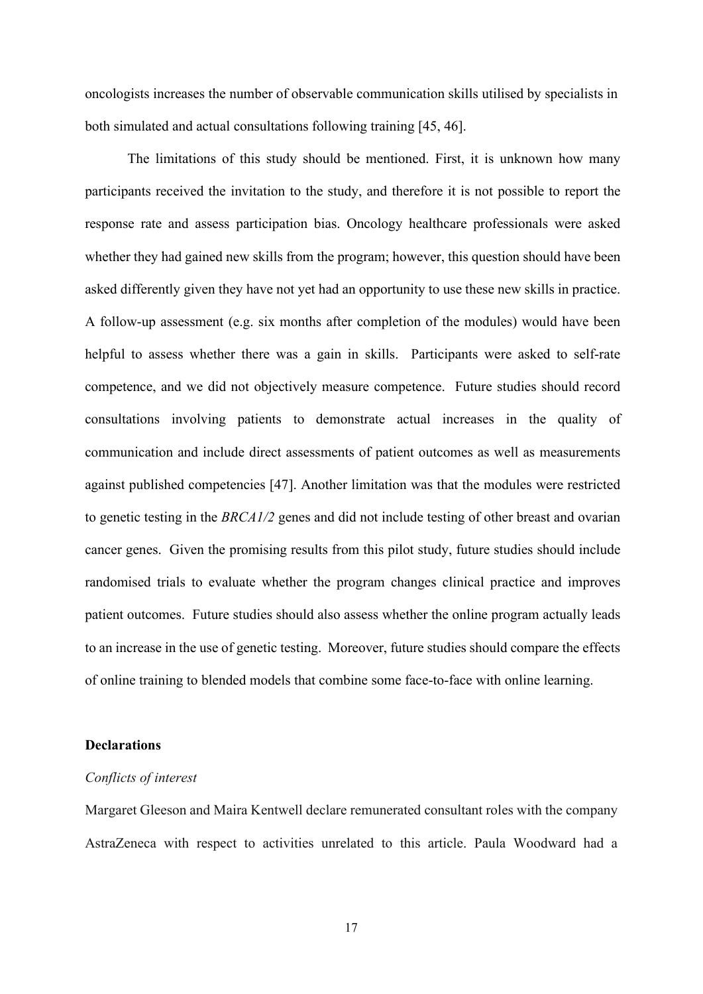oncologists increases the number of observable communication skills utilised by specialists in both simulated and actual consultations following training [45, 46].

The limitations of this study should be mentioned. First, it is unknown how many participants received the invitation to the study, and therefore it is not possible to report the response rate and assess participation bias. Oncology healthcare professionals were asked whether they had gained new skills from the program; however, this question should have been asked differently given they have not yet had an opportunity to use these new skills in practice. A follow-up assessment (e.g. six months after completion of the modules) would have been helpful to assess whether there was a gain in skills. Participants were asked to self-rate competence, and we did not objectively measure competence. Future studies should record consultations involving patients to demonstrate actual increases in the quality of communication and include direct assessments of patient outcomes as well as measurements against published competencies [47]. Another limitation was that the modules were restricted to genetic testing in the *BRCA1/2* genes and did not include testing of other breast and ovarian cancer genes. Given the promising results from this pilot study, future studies should include randomised trials to evaluate whether the program changes clinical practice and improves patient outcomes. Future studies should also assess whether the online program actually leads to an increase in the use of genetic testing. Moreover, future studies should compare the effects of online training to blended models that combine some face-to-face with online learning.

## **Declarations**

#### *Conflicts of interest*

Margaret Gleeson and Maira Kentwell declare remunerated consultant roles with the company AstraZeneca with respect to activities unrelated to this article. Paula Woodward had a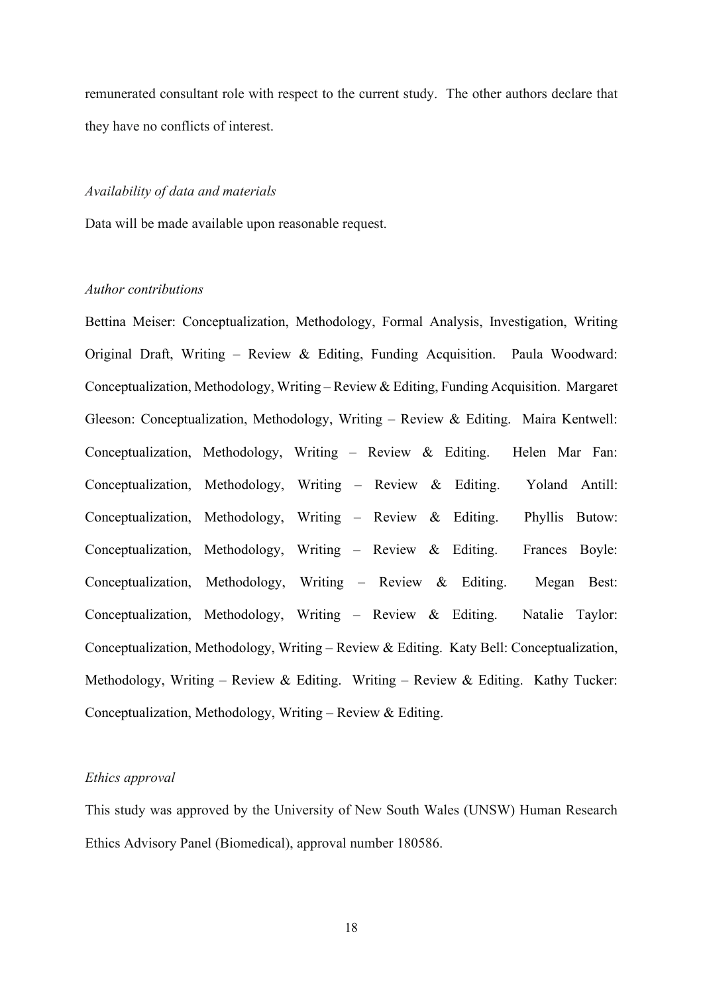remunerated consultant role with respect to the current study. The other authors declare that they have no conflicts of interest.

# *Availability of data and materials*

Data will be made available upon reasonable request.

## *Author contributions*

Bettina Meiser: Conceptualization, Methodology, Formal Analysis, Investigation, Writing Original Draft, Writing – Review & Editing, Funding Acquisition. Paula Woodward: Conceptualization, Methodology, Writing – Review & Editing, Funding Acquisition. Margaret Gleeson: Conceptualization, Methodology, Writing – Review & Editing. Maira Kentwell: Conceptualization, Methodology, Writing – Review & Editing. Helen Mar Fan: Conceptualization, Methodology, Writing – Review & Editing. Yoland Antill: Conceptualization, Methodology, Writing – Review & Editing. Phyllis Butow: Conceptualization, Methodology, Writing – Review & Editing. Frances Boyle: Conceptualization, Methodology, Writing – Review & Editing. Megan Best: Conceptualization, Methodology, Writing – Review & Editing. Natalie Taylor: Conceptualization, Methodology, Writing – Review & Editing. Katy Bell: Conceptualization, Methodology, Writing – Review & Editing. Writing – Review & Editing. Kathy Tucker: Conceptualization, Methodology, Writing – Review & Editing.

## *Ethics approval*

This study was approved by the University of New South Wales (UNSW) Human Research Ethics Advisory Panel (Biomedical), approval number 180586.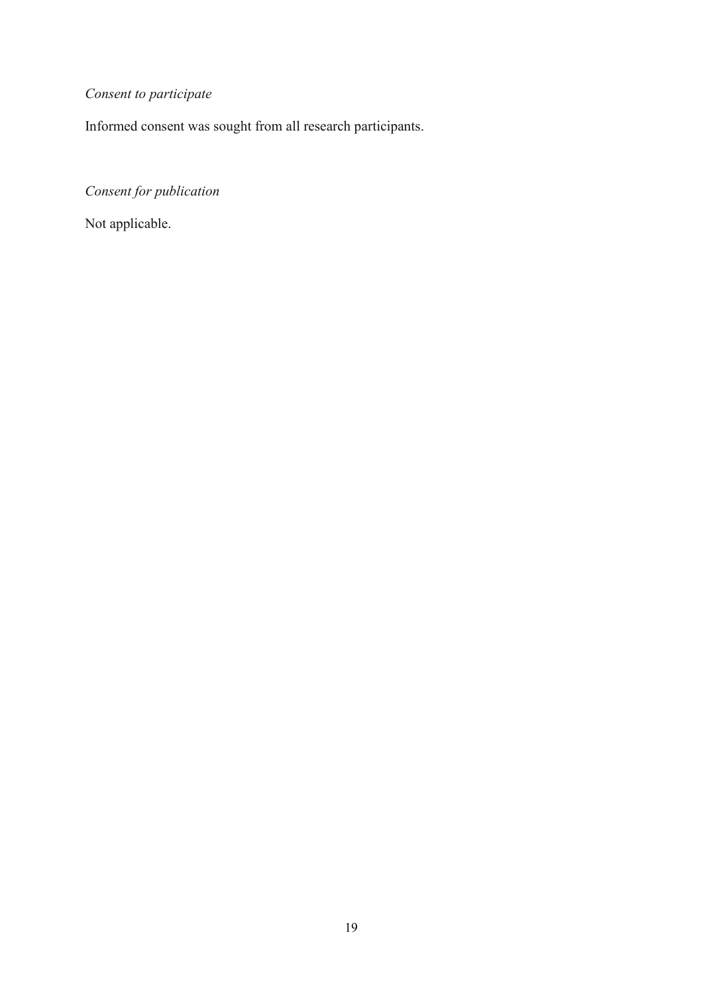# *Consent to participate*

Informed consent was sought from all research participants.

*Consent for publication*

Not applicable.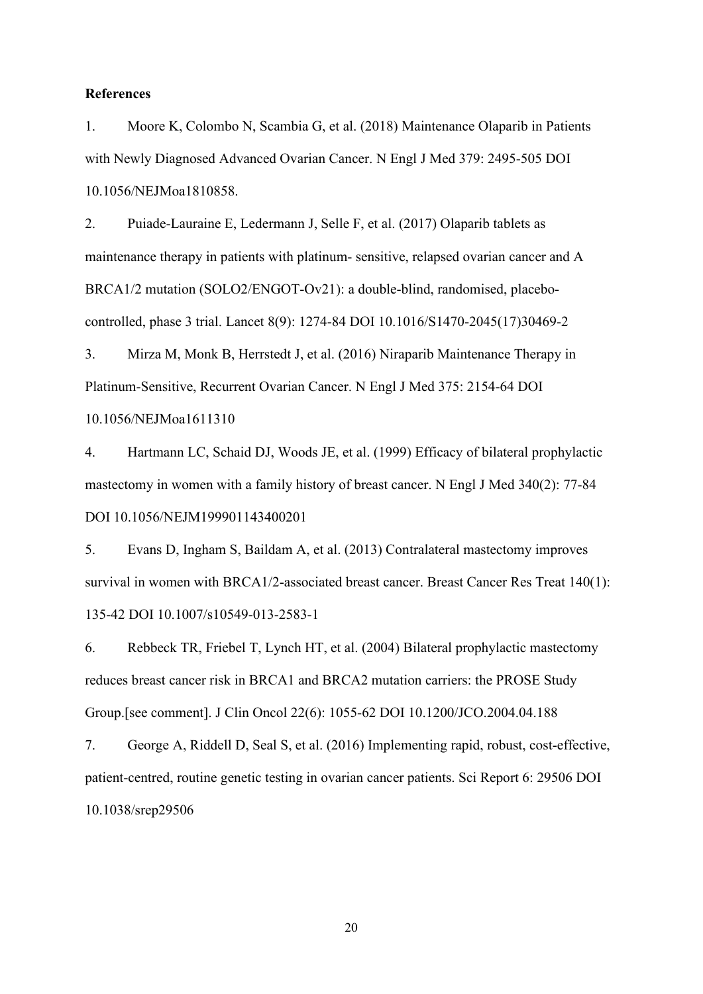#### **References**

1. Moore K, Colombo N, Scambia G, et al. (2018) Maintenance Olaparib in Patients with Newly Diagnosed Advanced Ovarian Cancer. N Engl J Med 379: 2495-505 DOI 10.1056/NEJMoa1810858.

2. Puiade-Lauraine E, Ledermann J, Selle F, et al. (2017) Olaparib tablets as maintenance therapy in patients with platinum- sensitive, relapsed ovarian cancer and A BRCA1/2 mutation (SOLO2/ENGOT-Ov21): a double-blind, randomised, placebocontrolled, phase 3 trial. Lancet 8(9): 1274-84 DOI 10.1016/S1470-2045(17)30469-2

3. Mirza M, Monk B, Herrstedt J, et al. (2016) Niraparib Maintenance Therapy in Platinum-Sensitive, Recurrent Ovarian Cancer. N Engl J Med 375: 2154-64 DOI 10.1056/NEJMoa1611310

4. Hartmann LC, Schaid DJ, Woods JE, et al. (1999) Efficacy of bilateral prophylactic mastectomy in women with a family history of breast cancer. N Engl J Med 340(2): 77-84 DOI 10.1056/NEJM199901143400201

5. Evans D, Ingham S, Baildam A, et al. (2013) Contralateral mastectomy improves survival in women with BRCA1/2-associated breast cancer. Breast Cancer Res Treat 140(1): 135-42 DOI 10.1007/s10549-013-2583-1

6. Rebbeck TR, Friebel T, Lynch HT, et al. (2004) Bilateral prophylactic mastectomy reduces breast cancer risk in BRCA1 and BRCA2 mutation carriers: the PROSE Study Group.[see comment]. J Clin Oncol 22(6): 1055-62 DOI 10.1200/JCO.2004.04.188

7. George A, Riddell D, Seal S, et al. (2016) Implementing rapid, robust, cost-effective, patient-centred, routine genetic testing in ovarian cancer patients. Sci Report 6: 29506 DOI 10.1038/srep29506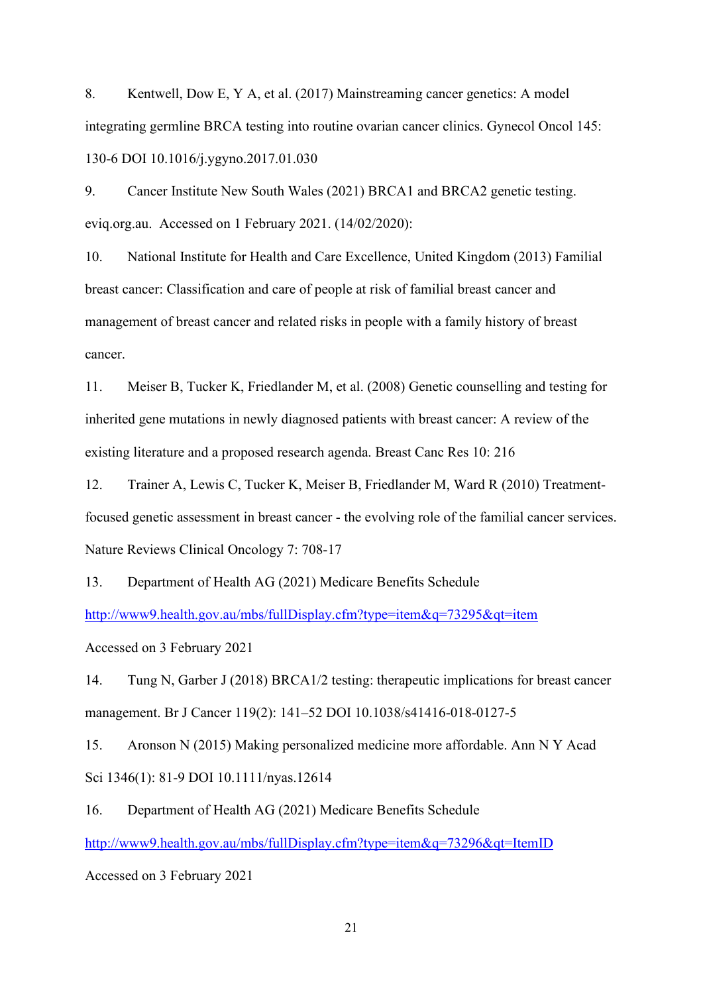8. Kentwell, Dow E, Y A, et al. (2017) Mainstreaming cancer genetics: A model integrating germline BRCA testing into routine ovarian cancer clinics. Gynecol Oncol 145: 130-6 DOI 10.1016/j.ygyno.2017.01.030

9. Cancer Institute New South Wales (2021) BRCA1 and BRCA2 genetic testing. eviq.org.au. Accessed on 1 February 2021. (14/02/2020):

10. National Institute for Health and Care Excellence, United Kingdom (2013) Familial breast cancer: Classification and care of people at risk of familial breast cancer and management of breast cancer and related risks in people with a family history of breast cancer.

11. Meiser B, Tucker K, Friedlander M, et al. (2008) Genetic counselling and testing for inherited gene mutations in newly diagnosed patients with breast cancer: A review of the existing literature and a proposed research agenda. Breast Canc Res 10: 216

12. Trainer A, Lewis C, Tucker K, Meiser B, Friedlander M, Ward R (2010) Treatmentfocused genetic assessment in breast cancer - the evolving role of the familial cancer services. Nature Reviews Clinical Oncology 7: 708-17

13. Department of Health AG (2021) Medicare Benefits Schedule

<http://www9.health.gov.au/mbs/fullDisplay.cfm?type=item&q=73295&qt=item>

Accessed on 3 February 2021

14. Tung N, Garber J (2018) BRCA1/2 testing: therapeutic implications for breast cancer management. Br J Cancer 119(2): 141–52 DOI 10.1038/s41416-018-0127-5

15. Aronson N (2015) Making personalized medicine more affordable. Ann N Y Acad Sci 1346(1): 81-9 DOI 10.1111/nyas.12614

16. Department of Health AG (2021) Medicare Benefits Schedule <http://www9.health.gov.au/mbs/fullDisplay.cfm?type=item&q=73296&qt=ItemID>

Accessed on 3 February 2021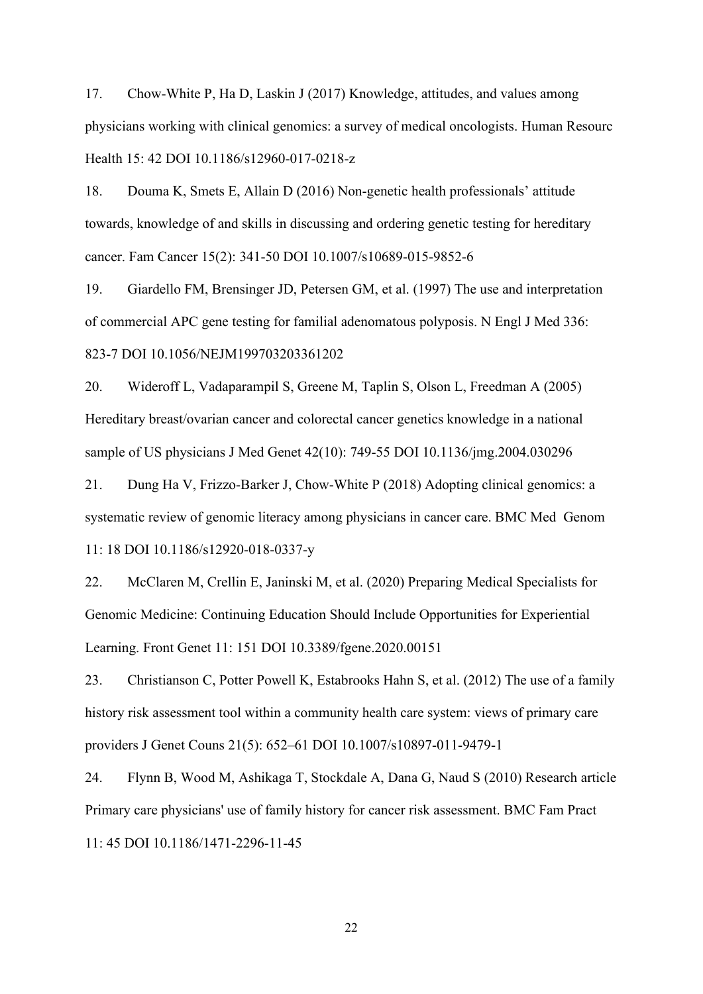17. Chow-White P, Ha D, Laskin J (2017) Knowledge, attitudes, and values among physicians working with clinical genomics: a survey of medical oncologists. Human Resourc Health 15: 42 DOI 10.1186/s12960-017-0218-z

18. Douma K, Smets E, Allain D (2016) Non-genetic health professionals' attitude towards, knowledge of and skills in discussing and ordering genetic testing for hereditary cancer. Fam Cancer 15(2): 341-50 DOI 10.1007/s10689-015-9852-6

19. Giardello FM, Brensinger JD, Petersen GM, et al. (1997) The use and interpretation of commercial APC gene testing for familial adenomatous polyposis. N Engl J Med 336: 823-7 DOI 10.1056/NEJM199703203361202

20. Wideroff L, Vadaparampil S, Greene M, Taplin S, Olson L, Freedman A (2005) Hereditary breast/ovarian cancer and colorectal cancer genetics knowledge in a national sample of US physicians J Med Genet 42(10): 749-55 DOI 10.1136/jmg.2004.030296

21. Dung Ha V, Frizzo-Barker J, Chow-White P (2018) Adopting clinical genomics: a systematic review of genomic literacy among physicians in cancer care. BMC Med Genom 11: 18 DOI 10.1186/s12920-018-0337-y

22. McClaren M, Crellin E, Janinski M, et al. (2020) Preparing Medical Specialists for Genomic Medicine: Continuing Education Should Include Opportunities for Experiential Learning. Front Genet 11: 151 DOI 10.3389/fgene.2020.00151

23. Christianson C, Potter Powell K, Estabrooks Hahn S, et al. (2012) The use of a family history risk assessment tool within a community health care system: views of primary care providers J Genet Couns 21(5): 652–61 DOI 10.1007/s10897-011-9479-1

24. Flynn B, Wood M, Ashikaga T, Stockdale A, Dana G, Naud S (2010) Research article Primary care physicians' use of family history for cancer risk assessment. BMC Fam Pract 11: 45 DOI 10.1186/1471-2296-11-45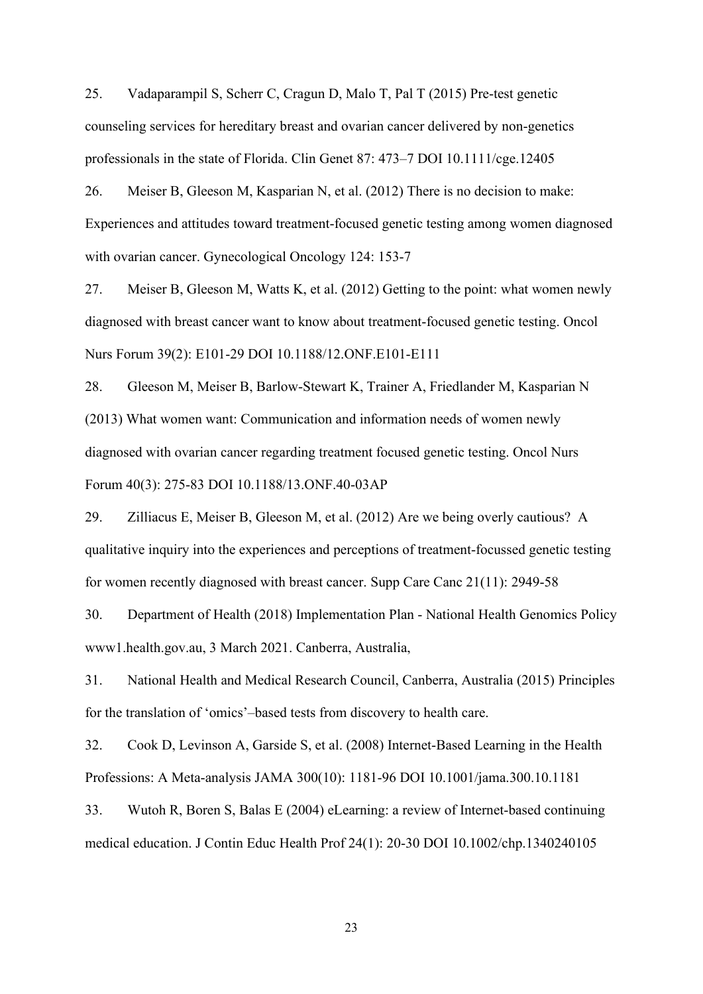25. Vadaparampil S, Scherr C, Cragun D, Malo T, Pal T (2015) Pre-test genetic counseling services for hereditary breast and ovarian cancer delivered by non-genetics professionals in the state of Florida. Clin Genet 87: 473–7 DOI 10.1111/cge.12405

26. Meiser B, Gleeson M, Kasparian N, et al. (2012) There is no decision to make: Experiences and attitudes toward treatment-focused genetic testing among women diagnosed with ovarian cancer. Gynecological Oncology 124: 153-7

27. Meiser B, Gleeson M, Watts K, et al. (2012) Getting to the point: what women newly diagnosed with breast cancer want to know about treatment-focused genetic testing. Oncol Nurs Forum 39(2): E101-29 DOI 10.1188/12.ONF.E101-E111

28. Gleeson M, Meiser B, Barlow-Stewart K, Trainer A, Friedlander M, Kasparian N (2013) What women want: Communication and information needs of women newly diagnosed with ovarian cancer regarding treatment focused genetic testing. Oncol Nurs Forum 40(3): 275-83 DOI 10.1188/13.ONF.40-03AP

29. Zilliacus E, Meiser B, Gleeson M, et al. (2012) Are we being overly cautious? A qualitative inquiry into the experiences and perceptions of treatment-focussed genetic testing for women recently diagnosed with breast cancer. Supp Care Canc 21(11): 2949-58

30. Department of Health (2018) Implementation Plan - National Health Genomics Policy www1.health.gov.au, 3 March 2021. Canberra, Australia,

31. National Health and Medical Research Council, Canberra, Australia (2015) Principles for the translation of 'omics'–based tests from discovery to health care.

32. Cook D, Levinson A, Garside S, et al. (2008) Internet-Based Learning in the Health Professions: A Meta-analysis JAMA 300(10): 1181-96 DOI 10.1001/jama.300.10.1181

33. Wutoh R, Boren S, Balas E (2004) eLearning: a review of Internet-based continuing medical education. J Contin Educ Health Prof 24(1): 20-30 DOI 10.1002/chp.1340240105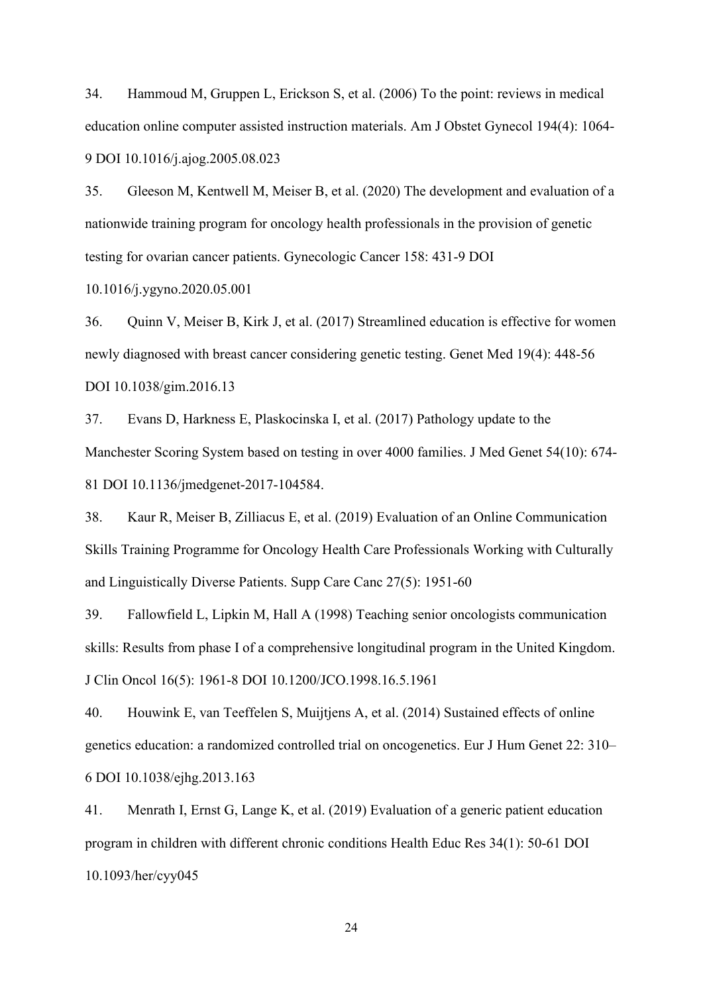34. Hammoud M, Gruppen L, Erickson S, et al. (2006) To the point: reviews in medical education online computer assisted instruction materials. Am J Obstet Gynecol 194(4): 1064- 9 DOI 10.1016/j.ajog.2005.08.023

35. Gleeson M, Kentwell M, Meiser B, et al. (2020) The development and evaluation of a nationwide training program for oncology health professionals in the provision of genetic testing for ovarian cancer patients. Gynecologic Cancer 158: 431-9 DOI

10.1016/j.ygyno.2020.05.001

36. Quinn V, Meiser B, Kirk J, et al. (2017) Streamlined education is effective for women newly diagnosed with breast cancer considering genetic testing. Genet Med 19(4): 448-56 DOI 10.1038/gim.2016.13

37. Evans D, Harkness E, Plaskocinska I, et al. (2017) Pathology update to the Manchester Scoring System based on testing in over 4000 families. J Med Genet 54(10): 674- 81 DOI 10.1136/jmedgenet-2017-104584.

38. Kaur R, Meiser B, Zilliacus E, et al. (2019) Evaluation of an Online Communication Skills Training Programme for Oncology Health Care Professionals Working with Culturally and Linguistically Diverse Patients. Supp Care Canc 27(5): 1951-60

39. Fallowfield L, Lipkin M, Hall A (1998) Teaching senior oncologists communication skills: Results from phase I of a comprehensive longitudinal program in the United Kingdom. J Clin Oncol 16(5): 1961-8 DOI 10.1200/JCO.1998.16.5.1961

40. Houwink E, van Teeffelen S, Muijtjens A, et al. (2014) Sustained effects of online genetics education: a randomized controlled trial on oncogenetics. Eur J Hum Genet 22: 310– 6 DOI 10.1038/ejhg.2013.163

41. Menrath I, Ernst G, Lange K, et al. (2019) Evaluation of a generic patient education program in children with different chronic conditions Health Educ Res 34(1): 50-61 DOI 10.1093/her/cyy045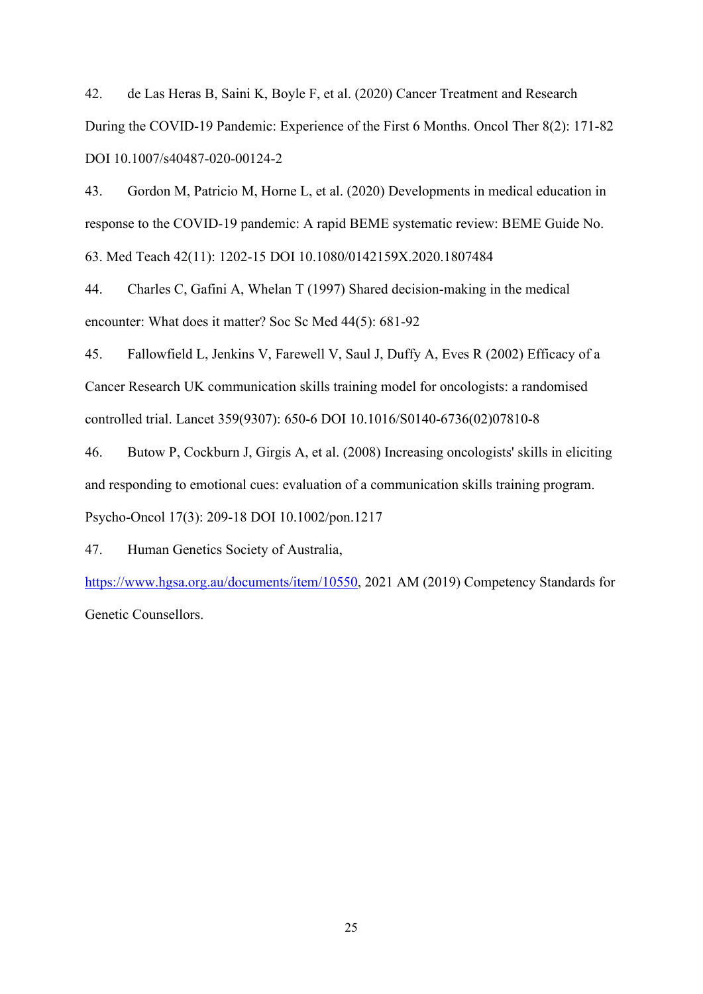42. de Las Heras B, Saini K, Boyle F, et al. (2020) Cancer Treatment and Research During the COVID-19 Pandemic: Experience of the First 6 Months. Oncol Ther 8(2): 171-82 DOI 10.1007/s40487-020-00124-2

43. Gordon M, Patricio M, Horne L, et al. (2020) Developments in medical education in response to the COVID-19 pandemic: A rapid BEME systematic review: BEME Guide No. 63. Med Teach 42(11): 1202-15 DOI 10.1080/0142159X.2020.1807484

44. Charles C, Gafini A, Whelan T (1997) Shared decision-making in the medical encounter: What does it matter? Soc Sc Med 44(5): 681-92

45. Fallowfield L, Jenkins V, Farewell V, Saul J, Duffy A, Eves R (2002) Efficacy of a Cancer Research UK communication skills training model for oncologists: a randomised controlled trial. Lancet 359(9307): 650-6 DOI 10.1016/S0140-6736(02)07810-8

46. Butow P, Cockburn J, Girgis A, et al. (2008) Increasing oncologists' skills in eliciting and responding to emotional cues: evaluation of a communication skills training program. Psycho-Oncol 17(3): 209-18 DOI 10.1002/pon.1217

47. Human Genetics Society of Australia,

[https://www.hgsa.org.au/documents/item/10550,](https://www.hgsa.org.au/documents/item/10550) 2021 AM (2019) Competency Standards for Genetic Counsellors.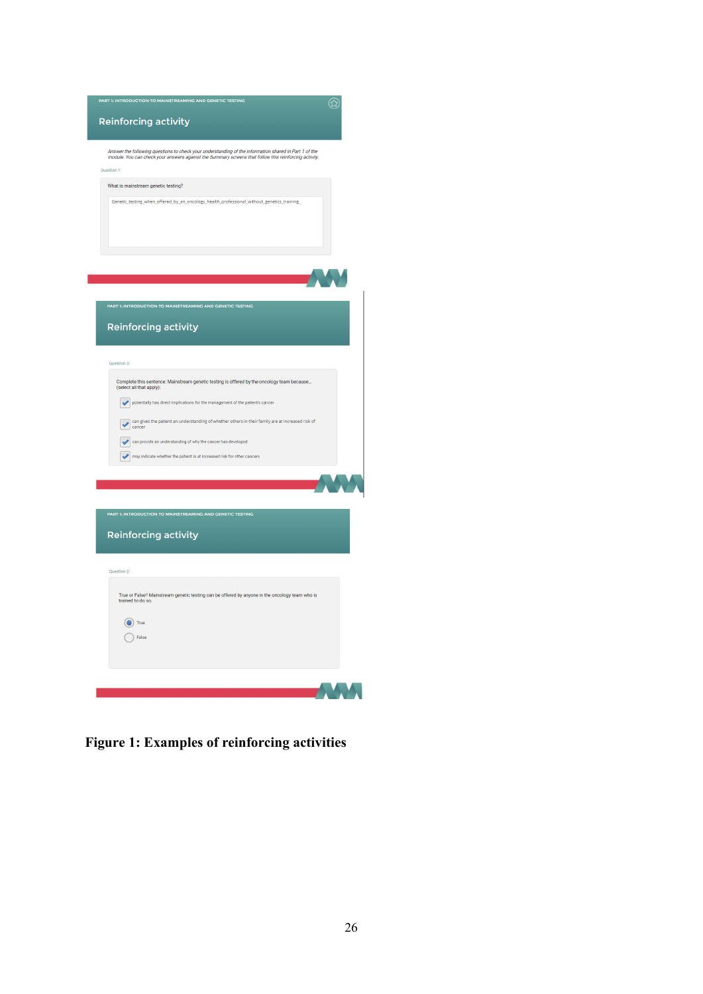| <b>Reinforcing activity</b>                                                                                                                                                                                                          | (公 |
|--------------------------------------------------------------------------------------------------------------------------------------------------------------------------------------------------------------------------------------|----|
|                                                                                                                                                                                                                                      |    |
| Answer the following questions to check your understanding of the information shared in Part 1 of the<br>module. You can check your answers against the Summary screens that follow this reinforcing activity.<br><b>Ouestion 1:</b> |    |
| What is mainstream genetic testing?                                                                                                                                                                                                  |    |
| Genetic_testing_when_offered_by_an_oncology_health_professional_without_genetics_training_                                                                                                                                           |    |
|                                                                                                                                                                                                                                      |    |
|                                                                                                                                                                                                                                      |    |
|                                                                                                                                                                                                                                      |    |
|                                                                                                                                                                                                                                      |    |
| PART 1: INTRODUCTION TO MAINSTREAMING AND GENETIC TESTING                                                                                                                                                                            |    |
| <b>Reinforcing activity</b>                                                                                                                                                                                                          |    |
|                                                                                                                                                                                                                                      |    |
| Question 3:                                                                                                                                                                                                                          |    |
| Complete this sentence: Mainstream genetic testing is offered by the oncology team because                                                                                                                                           |    |
| (select all that apply):<br>potentially has direct implications for the management of the patient's cancer<br>$\overline{\mathcal{L}}$                                                                                               |    |
| can gives the patient an understanding of whether others in their family are at increased risk of                                                                                                                                    |    |
| cancer<br>can provide an understanding of why the cancer has developed                                                                                                                                                               |    |
| may indicate whether the patient is at increased risk for other cancers                                                                                                                                                              |    |
|                                                                                                                                                                                                                                      |    |
|                                                                                                                                                                                                                                      |    |
| PART 1: INTRODUCTION TO MAINSTREAMING AND GENETIC TESTING                                                                                                                                                                            |    |
| <b>Reinforcing activity</b>                                                                                                                                                                                                          |    |
|                                                                                                                                                                                                                                      |    |
| Question 2:                                                                                                                                                                                                                          |    |
| True or False? Mainstream genetic testing can be offered by anyone in the oncology team who is<br>trained to do so.                                                                                                                  |    |
|                                                                                                                                                                                                                                      |    |
| $\bullet$ True<br>False                                                                                                                                                                                                              |    |
|                                                                                                                                                                                                                                      |    |
|                                                                                                                                                                                                                                      |    |
|                                                                                                                                                                                                                                      |    |

**Figure 1: Examples of reinforcing activities**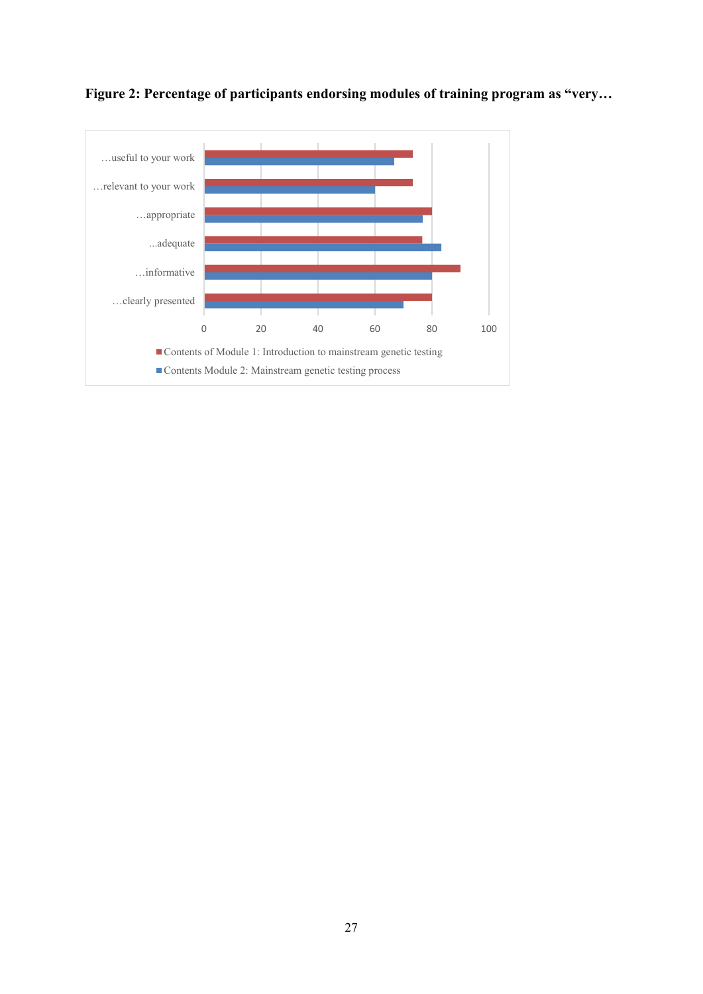

**Figure 2: Percentage of participants endorsing modules of training program as "very…**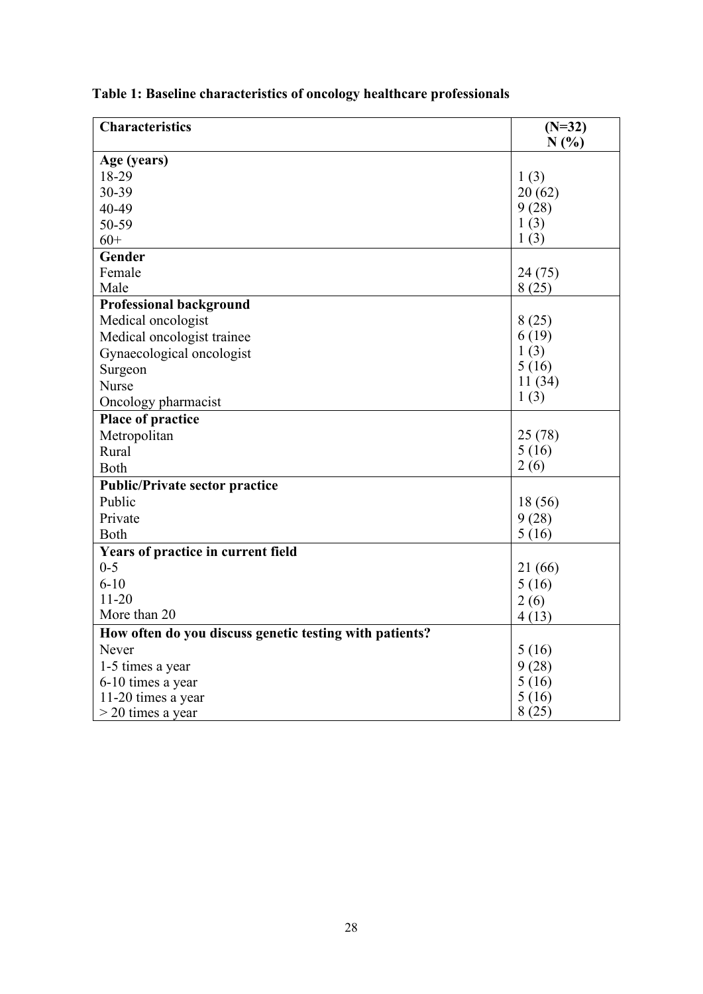| <b>Characteristics</b>                                  | $(N=32)$ |
|---------------------------------------------------------|----------|
|                                                         | N(%)     |
| Age (years)                                             |          |
| 18-29                                                   | 1(3)     |
| 30-39                                                   | 20(62)   |
| 40-49                                                   | 9(28)    |
| 50-59                                                   | 1(3)     |
| $60+$                                                   | 1(3)     |
| Gender                                                  |          |
| Female                                                  | 24(75)   |
| Male                                                    | 8(25)    |
| <b>Professional background</b>                          |          |
| Medical oncologist                                      | 8(25)    |
| Medical oncologist trainee                              | 6(19)    |
| Gynaecological oncologist                               | 1(3)     |
| Surgeon                                                 | 5(16)    |
| Nurse                                                   | 11(34)   |
| Oncology pharmacist                                     | 1(3)     |
| Place of practice                                       |          |
| Metropolitan                                            | 25(78)   |
| Rural                                                   | 5(16)    |
| Both                                                    | 2(6)     |
| <b>Public/Private sector practice</b>                   |          |
| Public                                                  | 18(56)   |
| Private                                                 | 9(28)    |
| Both                                                    | 5(16)    |
| Years of practice in current field                      |          |
| $0 - 5$                                                 | 21(66)   |
| $6 - 10$                                                | 5(16)    |
| $11-20$                                                 | 2(6)     |
| More than 20                                            | 4(13)    |
| How often do you discuss genetic testing with patients? |          |
| Never                                                   | 5(16)    |
| 1-5 times a year                                        | 9(28)    |
| 6-10 times a year                                       | 5(16)    |
| 11-20 times a year                                      | 5(16)    |
| $>$ 20 times a year                                     | 8(25)    |

**Table 1: Baseline characteristics of oncology healthcare professionals**